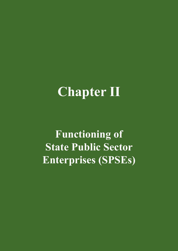# **Chapter II**

**Functioning of State Public Sector Enterprises (SPSEs)**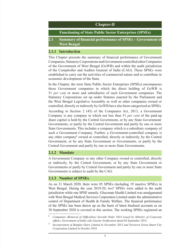## **Chapter-II Functioning of State Public Sector Enterprises (SPSEs) 2.1 Summary of financial performance of SPSEs – Government of West Bengal**

## **2.1.1 Introduction**

This Chapter presents the summary of financial performance of Government Companies, Statutory Corporations and Government controlled other Companies of the Government of West Bengal (GoWB) and within the audit jurisdiction of the Comptroller and Auditor General of India (CAG). These SPSEs were established to carry out the activities of commercial nature and to contribute in economic development of the State.

In the Chapter, the term State Public Sector Enterprises (SPSEs) encompasses those Government companies in which the direct holding of GoWB is 51 *per cent* or more and subsidiaries of such Government companies. The Statutory Corporations set up under Statutes enacted by the Parliament and the West Bengal Legislative Assembly as well as other companies owned or controlled, directly or indirectly by GoWB have also been categorised as SPSEs.

According to Section 2 (45) of the Companies Act, 2013, a Government Company is any company in which not less than 51 *per cent* of the paid-up share capital is held by the Central Government, or by any State Government/ Governments, or partly by the Central Government and partly by one or more State Governments. This includes a company which is a subsidiary company of such a Government Company. Further, a Government-controlled company is any other company<sup>8</sup> owned or controlled, directly or indirectly, by the Central Government, or by any State Government or Governments, or partly by the Central Government and partly by one or more State Governments.

## **2.1.2 Mandate**

A Government Company or any other Company owned or controlled, directly or indirectly, by the Central Government, or by any State Government or Governments or partly by Central Government and partly by one or more State Governments is subject to audit by the CAG.

## **2.1.3 Number of SPSEs**

As on 31 March 2020, there were 85 SPSEs (including 19 inactive SPSEs) in West Bengal. During the year 2019-20, two<sup>9</sup> SPSEs were added to the audit jurisdiction while one SPSE namely*,* Gluconate Health Limited was amalgamated with West Bengal Medical Services Corporation Limited under the administrative control of Department of Health & Family Welfare. The financial performance of the SPSEs has been drawn up on the basis of latest finalised accounts as on 30 September 2020 is covered in this section. The working SPSEs registered an

<sup>8</sup> *Companies (Removal of Difficulties) Seventh Order 2014 issued by Ministry of Corporate Affairs, Government of India vide Gazette Notification dated 04 September 2014.*

<sup>9</sup> *Incorporation of Banglar Dairy Limited in November 2015 and Newtown Green Smart City Corporation Limited in October 2018.*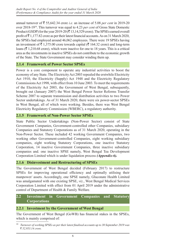annual turnover of  $\overline{\xi}$  55,642.34 crore *i.e.* an increase of 5.08 *per cent* in 2019-20 over 2018‑1910. This turnover was equal to 4.23 *per cent* of Gross State Domestic Product (GSDP) for the year 2019-20 ( $\bar{\tau}$  13,14,529 crore). The SPSEs earned overall profit of  $\bar{z}$  1,177.82 crore as per their latest financial accounts. As on 31 March 2020, the SPSEs had employed around 46,062 employees. There were 19 SPSEs having an investment of  $\bar{\tau}$  1,375.00 crore towards capital ( $\bar{\tau}$  164.32 crore) and long-term loans ( $\bar{\tau}$  1,210.68 crore), which were inactive for one to 18 years. This is a critical area as the investments in inactive SPSEs do not contribute to the economic growth of the State. The State Government may consider winding them up.

## **2.1.4 Framework of Power Sector SPSEs**

Power is a core component to operate any industrial activities to boost the economy of any State. The Electricity Act 2003 repealed the erstwhile Electricity Act 1910, the Electricity (Supply) Act 1948 and the Electricity Regulatory Commissions Act 1998, with effect from 10 June 2003. To meet the requirements of the Electricity Act 2003, the Government of West Bengal, subsequently, brought out (January 2007) the West Bengal Power Sector Reforms Transfer Scheme 2007 to separate transmission and distribution activities to two Power Sector undertakings. As of 31 March 2020, there were six power-sector SPSEs in West Bengal, all of which were working. Besides, there was West Bengal Electricity Regulatory Commission (WBERC), a regulatory authority.

## **2.1.5 Framework of Non-Power Sector SPSEs**

State Public Sector Undertakings (Non-Power Sector) consist of State Government Companies, Government-controlled other Companies, subsidiary Companies and Statutory Corporations as of 31 March 2020, operating in the Non-Power Sector. These included 42 working Government Companies, two working other Government-controlled Companies, eight working subsidiary companies, eight working Statutory Corporations, one inactive Statutory Corporation, 14 inactive Government Companies, three inactive subsidiary companies and. one inactive SPSE namely, West Bengal Tea Development Corporation Limited which is under liquidation process *(Appendix-6).*

## **2.1.6 Disinvestment and Restructuring of SPSEs**

The Government of West Bengal decided (February 2017) to restructure SPSEs for improving operational efficiency and optimally utilising their manpower/ assets. Accordingly, one SPSE namely, Gluconate Health Limited was amalgamated with one existing SPSE, *viz.*, West Bengal Medical Services Corporation Limited with effect from 01 April 2019 under the administrative control of Department of Health & Family Welfare.

## **2.2 Investment in Government Companies and Statutory Corporations**

## **2.2.1 Investment by the Government of West Bengal**

The Government of West Bengal (GoWB) has financial stakes in the SPSEs, which is mainly comprised of:

<sup>10</sup> *Turnover of working SPSEs as per their latest finalised accounts up to 30 September 2019 was*  ` *52,953.14 crore.*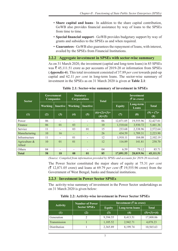- **Share capital and loans** In addition to the share capital contribution, GoWB also provides financial assistance by way of loans to the SPSEs from time to time.
- **Special financial support** GoWB provides budgetary support by way of grants and subsidies to the SPSEs as and when required.
- **Guarantees** GoWB also guarantees the repayment of loans, with interest, availed by the SPSEs from Financial Institutions.

## **2.2.2 Aggregate investment in SPSEs with sector-wise summary**

As on 31 March 2020, the investment (capital and long-term loans) in 85 SPSEs was  $\bar{\tau}$  45,111.51 crore as per accounts of 2019-20 or information from SPSEs (*Appendix-6*). This total investment consisted of 37.89 *per cent* towards paid-up capital and 62.11 *per cent* in long-term loans. The sector-wise summary of investment in the SPSEs as on 31 March 2020 is given at **Table 2.1**:

| <b>Sector</b>              | <b>Government</b><br><b>Companies</b> |                          | <b>Statutory</b><br><b>Corporations</b> |                          | <b>Total</b>                 | <b>Investment</b><br>$\sqrt{\zeta}$ in crore) |                    |                      |
|----------------------------|---------------------------------------|--------------------------|-----------------------------------------|--------------------------|------------------------------|-----------------------------------------------|--------------------|----------------------|
|                            | Working                               | <b>Inactive</b>          | <b>Working</b>                          | <b>Inactive</b>          | <b>Equity</b>                |                                               | Long-term<br>Loans | <b>Total</b>         |
| (1)                        | (2)                                   | (3)                      | (4)                                     | (5)                      | $(6)=(2)$ +(3)+<br>$(4)+(5)$ | (7)                                           | (8)                | $(9) = (7) +$<br>(8) |
| Power                      | 06                                    | $\overline{\phantom{a}}$ | $\overline{\phantom{a}}$                | $\overline{\phantom{a}}$ | 06                           | 12,871.05                                     | 19,555.96          | 32,427.01            |
| Finance                    | 06                                    | 0 <sub>1</sub>           | 03                                      | $\overline{\phantom{0}}$ | 10                           | 1,510.64                                      | 3,930.72           | 5,441.36             |
| Service                    | 11                                    | $\overline{\phantom{a}}$ | 03                                      | 01                       | 15                           | 233.68                                        | 2,338.96           | 2,572.64             |
| Manufacturing              | 10                                    | 16                       |                                         |                          | 26                           | 434.59                                        | 1,789.31           | 2,223.90             |
| Infrastructure             | 11                                    | $\overline{\phantom{a}}$ | 01                                      | $\overline{\phantom{a}}$ | 12                           | 1,918.11                                      | 184.08             | 2,102.19             |
| Agriculture $\&$<br>Allied | 10                                    | 0 <sub>1</sub>           | 01                                      | $\overline{\phantom{0}}$ | 12                           | 116.89                                        | 141.81             | 258.70               |
| Others                     | 04                                    | $\overline{\phantom{a}}$ | $\overline{\phantom{0}}$                |                          | 04                           | 6.59                                          | 79.12              | 85.71                |
| Total                      | 58                                    | 18                       | 08                                      | 01                       | 85                           | 17,091.55                                     | 28,019.96          | 45,111.51            |

## **Table 2.1: Sector-wise summary of investment in SPSEs**

*(Source: Compiled from information provided by SPSEs and accounts for 2019-20 received)*

The Power Sector constituted the major share of equity at 75.31 *per cent*  $({\bar \xi}$  12,871.05 crore) and loans at 69.79 *per cent* ( ${\bar \xi}$  19,555.96 crore) from the Government of West Bengal, banks and financial institutions.

## **2.2.3 Investment in Power Sector SPSEs**

The activity-wise summary of investment in the Power Sector undertakings as on 31 March 2020 is given below:

|                   | <b>Number of Power</b> |               | Investment ( $\bar{\zeta}$ in crore) |               |
|-------------------|------------------------|---------------|--------------------------------------|---------------|
| <b>Activity</b>   | <b>Sector SPSEs</b>    | <b>Equity</b> | Long-term loans                      | <b>Total</b>  |
| $\left( 1\right)$ | (2)                    | (3)           | (4)                                  | $(5)=(3)+(4)$ |
| Generation        |                        | 9,394.55      | 8,413.51                             | 17,808.06     |
| Transmission      |                        | 1,105.52      | 2,942.71                             | 4,078.23      |
| Distribution      |                        | 2,365.89      | 8,199.74                             | 10,565.63     |

## **Table 2.2: Activity-wise investment in Power Sector SPSEs**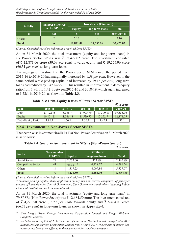|                  | <b>Number of Power</b> | Investment $(\bar{\bar{\zeta}})$ in crore) |                 |               |  |
|------------------|------------------------|--------------------------------------------|-----------------|---------------|--|
| <b>Activity</b>  | <b>Sector SPSEs</b>    | <b>Equity</b>                              | Long-term loans | <b>Total</b>  |  |
| $\left(1\right)$ | (2)                    | (3)<br>(4)                                 |                 | $(5)=(3)+(4)$ |  |
| Others $^{11}$   |                        | 5.10                                       |                 | 5.10          |  |
| <b>Total</b>     |                        | 12,871.06                                  | 19,555.96       | 32,427.02     |  |

As on 31 March 2020, the total investment (equity and long-term loans) in six Power Sector SPSEs was  $\bar{\tau}$  32,427.02 crore. The investment consisted of  $\bar{\tau}$  12,871.06 crore (39.69 *per cent)* towards equity and  $\bar{\tau}$  19,555.96 crore (60.31 *per cent*) as long-term loans.

The aggregate investment in the Power Sector SPSEs over the period from 2015‑16 to 2019-20 had marginally increased by 1.58 *per cent*. However, in the same period while paid-up capital had increased by 19.16 *per cent*, long-term loans had reduced by 7.42 *per cent*. This resulted in improvement in debt-equity ratio from 1.96:1 to 1.42:1 between 2015‑16 and 2018‑19, which again increased to 1.52:1 in 2019‑20, as shown in **Table 2.3**.

**Table 2.3: Debt-Equity Ratios of Power Sector SPSEs**

|                   |           |           |           |           | $(3 \times 1)$ arore) |
|-------------------|-----------|-----------|-----------|-----------|-----------------------|
| Year              | 2015-16   | 2016-17   | 2017-18   | 2018-19   | $2019 - 20$           |
| Debt              | 21.122.96 | 18.338.74 | 17.995.79 | 17.390.89 | 19,555.96             |
| Equity            | 10,801.21 | 11,066.18 | 11,539.72 | 12.272.74 | 12,871.05             |
| Debt-Equity Ratio | 1.96:1    | 1.66:1    | 1.56:1    | 1.42:1    | 1.52:1                |

## **2.2.4 Investment in Non-Power Sector SPSEs**

The sector-wise investment in all SPSEs (Non-Power Sector) as on 31 March 2020 is as follows:

## **Table 2.4: Sector-wise investment in SPSEs (Non-Power Sector)**

*(*` *in crore)*

| <b>Sector</b>             | <b>Total number</b> | <b>Investment</b>    |                  |              |
|---------------------------|---------------------|----------------------|------------------|--------------|
|                           | of SPSEs            | Equity*              | Long-term loans* | <b>Total</b> |
| Social Sector             | 24                  | 2,035.00             | 325.89           | 2,360.89     |
| <b>Competitive Sector</b> | 41                  | 668.27 <sup>12</sup> | 4,128.27         | 4,796.54     |
| Others                    | 4                   | 1,517.23             | 4,009.84         | 5,527.07     |
| <b>Total</b>              | 79                  | 4,220.50             | 8,464.00         | 12,684.50    |

*(Source: Compiled based on information received from SPSEs.)*

*\* Includes paid-up capital, share application money and non-current component of principal amount of loans from the Central Government, State Governments and others including Public Financial Institutions and Commercial banks.*

As on 31 March 2020, the total investment (equity and long-term loans) in 79 SPSEs (Non-Power Sector) was  $\bar{\mathcal{F}}$  12,684.50 crore. The investment consisted of  $\bar{\xi}$  4,220.50 crore (33.27 *per cent)* towards equity and  $\bar{\xi}$  8,464.00 crore (66.73 *per cent*) in long-term loans, as shown in *Appendix-6*.

*<sup>11</sup> West Bengal Green Energy Development Corporation Limited and Bengal Birbhum Coalfields Limited.*

*<sup>12</sup> Excludes share capital of* ` *54.38 crore of Gluconate Health Limited, merged with West Bengal Medical Services Corporation Limited from 01 April 2017. The scheme of merger has, however, not been given effect to in the accounts of the transferor company.*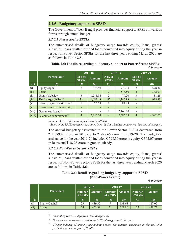## **2.2.5 Budgetary support to SPSEs**

The Government of West Bengal provides financial support to SPSEs in various forms through annual budget.

## *2.2.5.1 Power Sector SPSEs*

The summarised details of budgetary outgo towards equity, loans, grants/ subsidies, loans written off and loans converted into equity during the year in respect of Power Sector SPSEs for the last three years ending March 2020 are as follows in **Table 2.5**:

## **Table 2.5: Details regarding budgetary support to Power Sector SPSEs** *(*` *in crore)*

|                    |                                     |                         | 2017-18                  |                         | 2018-19       | 2019-20                 |               |
|--------------------|-------------------------------------|-------------------------|--------------------------|-------------------------|---------------|-------------------------|---------------|
|                    | $\overline{\text{Particular}}^{13}$ | Nos. of<br><b>SPSEs</b> | <b>Amount</b>            | Nos. of<br><b>SPSEs</b> | <b>Amount</b> | Nos. of<br><b>SPSEs</b> | <b>Amount</b> |
| (1)                | (2)                                 | (3)                     | (4)                      | (5)                     | (6)           | (7)                     | (8)           |
| $\left( 1 \right)$ | Equity capital                      | 2                       | 473.49                   |                         | 742.93        | $\overline{2}$          | 598.30        |
| (ii)               | Loans                               |                         |                          | 2                       | 518.80        | $\overline{2}$          | 362.07        |
| (iii)              | Grants/ Subsidy                     | 3                       | 1,215.94                 | $\mathfrak{D}$          | 79.20         | 3                       | 38.28         |
| (iv)               | Total outgo (i+ii+iii)              | $3*$                    | 1,689.43                 | $5*$                    | 1,340.93      | $4*$                    | 998.65        |
| (v)                | Loan repayment written off          |                         | 26.59                    |                         | 84.89         |                         |               |
| (vi)               | Loans converted into equity         |                         | $\overline{\phantom{a}}$ |                         |               |                         |               |
| (vii)              | Guarantees issued <sup>14</sup>     |                         |                          |                         | 2,160.00      |                         |               |
| (viii)             | Guarantee commitment <sup>15</sup>  | $\overline{4}$          | 2,456.54                 | $\overline{4}$          | 2,685.39      | $\overline{4}$          | 4,392.02      |

*(Source: As per information furnished by SPSEs)* 

\* *Some of the SPSEs received assistance from the State Budget under more than one of category*.

The annual budgetary assistance to the Power Sector SPSEs decreased from ₹ 1,689.43 crore in 2017-18 to ₹ 998.65 crore in 2019-20. The budgetary assistance for the year 2019-20 included  $\bar{\xi}$  598.30 crore in equity,  $\bar{\xi}$  362.07 crore in loans and  $\bar{\bar{\xi}}$  38.28 crore in grants/ subsidy.

## *2.2.5.2 Non-Power Sector SPSEs*

The summarised details of budgetary outgo towards equity, loans, grants/ subsidies, loans written off and loans converted into equity during the year in respect of Non-Power Sector SPSEs for the last three years ending March 2020 are as follows in **Table 2.6**:

## **Table 2.6: Details regarding budgetary support to SPSEs (Non-Power Sector)**

*(*` *in crore)*

|      |                       | 2017-18                   |        | 2018-19                   |               | 2019-20                   |               |
|------|-----------------------|---------------------------|--------|---------------------------|---------------|---------------------------|---------------|
|      | <b>Particulars</b>    | <b>Number</b><br>of SPSEs | Amount | <b>Number</b><br>of SPSEs | <b>Amount</b> | <b>Number</b><br>of SPSEs | <b>Amount</b> |
| (1)  | (2)                   | (3)                       | (4)    | (5)                       | (6)           |                           | (8)           |
|      | <b>Equity Capital</b> | 23                        | 439.37 |                           | 138.63        |                           | 127.07        |
| (ii) | Loans                 | 24                        | 453.39 | 21                        | 321.80        | 23                        | 478.72        |

<sup>13</sup> *Amount represents outgo from State Budget only.*

<sup>14</sup> *Government guarantees issued to the SPSEs during a particular year.*

<sup>15</sup> *Closing balance of amount outstanding against Government guarantee at the end of a particular year in respect of SPSEs.*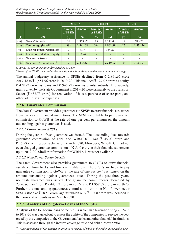|        |                                                   |                           | 2017-18          |                           | 2018-19       |                           | 2019-20       |  |
|--------|---------------------------------------------------|---------------------------|------------------|---------------------------|---------------|---------------------------|---------------|--|
|        | <b>Particulars</b>                                | <b>Number</b><br>of SPSEs | <b>Amount</b>    | <b>Number</b><br>of SPSEs | <b>Amount</b> | <b>Number</b><br>of SPSEs | <b>Amount</b> |  |
| (1)    | (2)                                               | (3)                       | $\left(4\right)$ | (5)                       | (6)           | (7)                       | (8)           |  |
| (iii)  | Grants/ Subsidy                                   | 31                        | 1,968.89         | 15                        | 1,341.48      | 17                        | 945.77        |  |
| (iv)   | Total outgo ( <i>i</i> + <i>ii</i> + <i>iii</i> ) | $38*$                     | 2,861.65         | $34*$                     | 1,801.91      | 27                        | 1,551.56      |  |
| (v)    | Loan repayment written off                        | 2                         | 3.77             | 11                        | 334.29        |                           |               |  |
| (vi)   | Loans converted into equity                       |                           | 13.24            |                           |               |                           |               |  |
| (vii)  | Guarantees issued                                 |                           |                  |                           |               |                           |               |  |
| (viii) | Guarantee Commitment <sup>16</sup>                | $\overline{7}$            | 2,443.52         | 7                         | 2,510.12      | 9                         | 1,858.07      |  |

*(Source: As per information furnished by SPSEs)* 

\**Some of the SPSEs received assistance from the State Budget under more than one of category.*

The annual budgetary assistance to SPSEs declined from  $\bar{\tau}$  2,861.65 crore 2017-18 to ₹1,551.56 crore in 2019-20. This included ₹127.07 crore as equity,  $\bar{\xi}$  478.72 crore as loans and  $\bar{\xi}$  945.77 crore as grants/ subsidy. The subsidy/ grants given by the State Government in 2019-20 were primarily to the Transport Sector ( $\bar{\tau}$  682.73 crore) for renovation of buses, purchase of spare parts, and other administrative expenses.

## **2.2.6 Guarantee Commission**

The State Government provides guarantees to SPSEs to draw financial assistance from banks and financial institutions. The SPSEs are liable to pay guarantee commission to GoWB at the rate of one per cent per annum on the amount outstanding against guarantees issued.

## *2.2.6.1 Power Sector SPSEs*

During the year, no fresh guarantee was issued. The outstanding dues towards guarantee commission of DPL and WBSEDCL was  $\bar{\tau}$  45.09 crore and ₹ 15.98 crore, respectively, as on March 2020. Moreover, WBSETCL had not even charged guarantee commission of  $\bar{\bar{\xi}}$  5.40 crore in their financial statements up to 2019-20. Similar information for WBPDCL was not available.

## *2.2.6.2 Non-Power Sector SPSEs*

The State Government also provides guarantees to SPSEs to draw financial assistance from banks and financial institutions. The SPSEs are liable to pay guarantee commission to GoWB at the rate of one *per cent per annum* on the amount outstanding against guarantees issued. During the past three years, no fresh guarantee was issued. The guarantee commitments decreased by 23.96 *per cent* from ₹ 2,443.52 crore in 2017-18 to ₹ 1,858.07 crore in 2019-20. Further, the outstanding guarantees commission from nine Non-Power sector SPSEs stood at  $\bar{\mathfrak{c}}$  18.58 crore, against which only  $\bar{\mathfrak{c}}$  10.08 crore was included in the books of accounts as on March 2020.

## **2.2.7 Analysis of Long-term Loans of the SPSEs**

Analysis of the long-term loans of the SPSEs which had leverage during 2015‑16 to 2019-20 was carried out to assess the ability of the companies to service the debt owed by the companies to the Government, banks and other financial institutions. This is assessed through the interest coverage ratio and debt turnover ratio.

<sup>16</sup> *Closing balance of Government guarantee in respect of PSUs at the end of a particular year*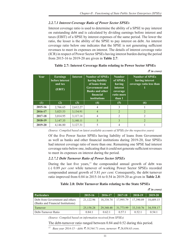## *2.2.7.1 Interest Coverage Ratio of Power Sector SPSEs*

Interest coverage ratio is used to determine the ability of a SPSE to pay interest on outstanding debt and is calculated by dividing earnings before interest and taxes (EBIT) of a SPSE by interest expenses of the same period. The lower the ratio, the lesser is the ability of the SPSE to pay interest on debt. An interest coverage ratio below one indicates that the SPSE is not generating sufficient revenues to meet its expenses on interest. The details of interest coverage ratio (ICR) in respect of Power Sector SPSEs having interest burden during the period from 2015-16 to 2019-20 are given in **Table 2.7**:

| <b>Year</b> | <b>Earnings</b><br>before interest<br>and tax<br>(EBIT) | <b>Interest</b> | <b>Number of SPSEs</b><br>having liability<br>of loans from<br><b>Government and</b><br><b>Banks and other</b><br>financial<br><i>institutions</i> | <b>Number</b><br>of SPSEs<br>having<br>interest<br>coverage<br>ratio more<br>than 1 | <b>Number of SPSEs</b><br>having interest<br>coverage ratio less than |
|-------------|---------------------------------------------------------|-----------------|----------------------------------------------------------------------------------------------------------------------------------------------------|-------------------------------------------------------------------------------------|-----------------------------------------------------------------------|
| (1)         | (2)                                                     | (3)             | (4)                                                                                                                                                | (5)                                                                                 | (6)                                                                   |
| 2015-16     | 2,766.65                                                | 2,612.27        | 4                                                                                                                                                  | 3                                                                                   |                                                                       |
| 2016-17     | 3,025.53                                                | 3,134.91        | 4                                                                                                                                                  | 2                                                                                   | $\overline{2}$                                                        |
| 2017-18     | 3,014.95                                                | 3,117.14        | 4                                                                                                                                                  | $\mathfrak{D}$                                                                      | $\mathfrak{D}$                                                        |
| 2018-19     | 3,147.35                                                | 3,140.11        | 5                                                                                                                                                  | $\mathcal{E}$                                                                       | $\overline{2}$                                                        |
| 2019-20     | 4,146.80                                                | 3,127.31        |                                                                                                                                                    | 4                                                                                   |                                                                       |

| Table 2.7: Interest Coverage Ratio relating to Power Sector SPSEs |  |  |
|-------------------------------------------------------------------|--|--|
|-------------------------------------------------------------------|--|--|

*(*` *in crore)*

*(*` *in crore)*

*(Source: Compiled based on latest available accounts of SPSEs for the respective years)*

Of the five Power Sector SPSEs having liability of loans from Government as well as banks and other financial institutions during 2019-20, four SPSEs had interest coverage ratio of more than one. Remaining one SPSE had interest coverage ratio below one, indicating that it could not generate sufficient revenues to meet its expenses on interest during the period.

## *2.2.7.2 Debt Turnover Ratio of Power Sector SPSEs*

During the last five years, $17$  the compounded annual growth of debt was (‑) 0.89 *per cent* while turnover of working Power Sector SPSEs recorded compounded annual growth of 5.81 *per cent.* Consequently, the debt turnover ratio improved from 0.84 in 2015-16 to 0.54 in 2019-20 as given in **Table 2.8**:

## **Table 2.8: Debt Turnover Ratio relating to the State SPSEs**

|                                                                       |           |           |           |                | $\cup$ <i>in crore)</i> |
|-----------------------------------------------------------------------|-----------|-----------|-----------|----------------|-------------------------|
| <b>Particulars</b>                                                    | 2015-16   | 2016-17   | 2017-18   | 2018-19        | 2019-20                 |
| Debt from Government and others<br>(Banks and Financial Institutions) | 21,122.96 | 18,338.74 | 17.995.79 | 17,390.89      | 18,689.15               |
| Turnover                                                              | 25,158.28 | 29,348.48 | 31,773.99 | 33,310.76      | 34,558.17               |
| Debt-Turnover Ratio                                                   | 0.84:1    | 0.62:1    | $0.57-1$  | $0.52 \cdot 1$ | 0.54:1                  |

*(Source: Compiled based on information received from SPSEs)*

The debt-turnover ratio ranged between 0.84 and 0.52 during this period.

 $^{17}$  *Base year 2014-15 – debt: ₹ 19,544.71 crore, turnover: ₹ 26,056.63 crore.*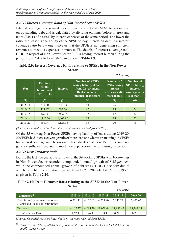## *2.2.7.3 Interest Coverage Ratio of Non-Power Sector SPSEs*

Interest coverage ratio is used to determine the ability of a SPSE to pay interest on outstanding debt and is calculated by dividing earnings before interest and taxes (EBIT) of a SPSE by interest expenses of the same period. The lower the ratio, the lesser is the ability of the SPSE to pay interest on debt. An interest coverage ratio below one indicates that the SPSE is not generating sufficient revenues to meet its expenses on interest. The details of interest coverage ratio (ICR) in respect of Non-Power Sector SPSEs having interest burden during the period from 2015-16 to 2019-20 are given in **Table 2.9**:

## **Table 2.9: Interest Coverage Ratio relating to SPSEs in the Non-Power Sector**

|             |                                                         |                 |                                                                                                                             | $\cup$ in crorer                                                                     |                                                                               |
|-------------|---------------------------------------------------------|-----------------|-----------------------------------------------------------------------------------------------------------------------------|--------------------------------------------------------------------------------------|-------------------------------------------------------------------------------|
| <b>Year</b> | <b>Earnings</b><br>before<br>interest and<br>tax (EBIT) | <b>Interest</b> | <b>Number of SPSEs</b><br>having liability of loans<br>from Government,<br><b>Banks and other</b><br>financial institutions | Number of<br><b>SPSEs having</b><br><i>interest</i><br>coverage ratio<br>more than 1 | Number of<br><b>SPSEs having</b><br>interest<br>coverage ratio<br>less than 1 |
| (1)         | (2)                                                     | (3)             | $\left( 4\right)$                                                                                                           | (5)                                                                                  | (6)                                                                           |
| 2015-16     | 830.20                                                  | 526.93          | 43                                                                                                                          | 26                                                                                   | 17                                                                            |
| 2016-17     | 413.47                                                  | 593.76          | 42                                                                                                                          | 18                                                                                   | 24                                                                            |
| 2017-18     | 67.73                                                   | 559.37          | 37                                                                                                                          | 17                                                                                   | 20                                                                            |
| 2018-19     | 1,755.56                                                | 1,002.90        | 35                                                                                                                          | 15                                                                                   | 20                                                                            |
| 2019-20     | 858.04                                                  | 1,123.36        | 35                                                                                                                          | 20                                                                                   | 15                                                                            |

 $(F : \mathcal{L} \cup \mathcal{L} \cup \mathcal{L} \cup \mathcal{L} \cup \mathcal{L} \cup \mathcal{L} \cup \mathcal{L} \cup \mathcal{L} \cup \mathcal{L} \cup \mathcal{L} \cup \mathcal{L} \cup \mathcal{L} \cup \mathcal{L} \cup \mathcal{L} \cup \mathcal{L} \cup \mathcal{L} \cup \mathcal{L} \cup \mathcal{L} \cup \mathcal{L} \cup \mathcal{L} \cup \mathcal{L} \cup \mathcal{L} \cup \mathcal{L} \cup \mathcal{L} \cup \mathcal{L} \cup \mathcal{L} \cup \mathcal{L} \cup \math$ 

*(Source: Compiled based on latest finalised Accounts received from SPSEs)*

Of the 35 working Non-Power SPSEs having liability of loans during 2019-20, 20 SPSEs had interest coverage ratio of more than one whereas remaining 15 SPSEs had interest coverage ratio below one. This indicates that these 15 SPSEs could not generate sufficient revenues to meet their expenses on interest during the period.

## *2.2.7.4 Debt Turnover Ratio*

During the last five years, the turnover of the 39 working SPSEs with borrowings in Non-Power Sector recorded compounded annual growth of 8.35 *per cent* while the compounded annual growth of debt was (-) 10.71 *per cent* due to which the debt turnover ratio improved from 1.62 in 2015-16 to 0.28 in 2019 -20 as given in **Table 2.10**:

## **Table 2.10: Debt Turnover Ratio relating to the SPSEs in the Non-Power Sector**

|                                                                       |             |          |           | $\bar{\mathcal{R}}$ in crore) |           |
|-----------------------------------------------------------------------|-------------|----------|-----------|-------------------------------|-----------|
| Particulars <sup>18</sup>                                             | $2015 - 16$ | 2016-17  | 2017-18   | 2018-19                       | 2019-20   |
| Debt from Government and others<br>(Banks and Financial Institutions) | 6,731.11    | 4,122.03 | 4,229.80  | 5, 143.22                     | 5,407.65  |
| Turnover                                                              | 4,167.37    | 4,285.30 | 11,058.04 | 17,953.65                     | 19,247.65 |
| Debt-Turnover Ratio                                                   | 1.62:1      | 0.96:1   | 0.38:1    | 0.29:1                        | 0.28:1    |

*(Source: Compiled based on latest finalised Accounts received from SPSEs)*

<sup>18</sup> *Turnover and debts of SPSEs having loan liability for the year 2014-15 is*  $\bar{\xi}$  12,883.63 *crore*  $and$  ₹ 9.528.64 *crore*.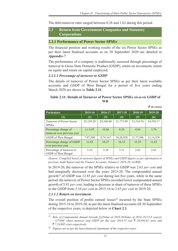The debt-turnover ratio ranged between 0.28 and 1.62 during this period.

## **2.3 Return from Government Companies and Statutory Corporations**

## **2.3.1 Performance of Power Sector SPSEs**

The financial position and working results of the six Power Sector SPSEs as per their latest finalised accounts as on 30 September 2020 are detailed in *Appendix-7.*

The performance of a company is traditionally assessed through percentage of turnover to Gross State Domestic Product (GSDP), return on investment, return on equity and return on capital employed.

#### *2.3.1.1 Percentage of turnover to GSDP*

The details of turnover of Power Sector SPSEs as per their latest available accounts and GSDP of West Bengal for a period of five years ending March 2020 are shown in **Table 2.11**:

## **Table 2.11: Details of Turnover of Power Sector SPSEs** *vis-à-vis* **GSDP of WB**

|                                                     |            |           |           |           | $(3 \nvert n \text{ error})$ |
|-----------------------------------------------------|------------|-----------|-----------|-----------|------------------------------|
| <b>Particulars</b>                                  | 2015-16    | 2016-17   | 2017-18   | 2018-19   | 2019-20                      |
| (1)                                                 | (2)        | (3)       | (4)       | (5)       | (6)                          |
| Turnover of Power Sector<br><b>SPSEs</b>            | 25,158.28  | 29,348.48 | 31,773.99 | 33,310.76 | 34,558.17                    |
| Percentage change of<br>turnover over previous year | $(-)$ 3.45 | 16.66     | 8.26      | 4.84      | 3.74                         |
| GSDP of West Bengal                                 | 7,97,300   | 8,79,167  | 10,20,858 | 11,77,586 | 13, 14, 529                  |
| Percentage change of GSDP<br>over previous year     | 11.03      | 10.27     | 16.12     | 15.35     | 11.63                        |
| Percentage of turnover to<br>GSDP of West Bengal    | 3.16       | 3.34      | 3.11      | 2.83      | 2.63                         |

*(Source: Compiled based on turnover figures of SPSEs and GSDP figures as per information in previous Audit Report and the Finance Accounts, Volume-I, 2019-20, GoWB)*

In 2019-20, the turnover of the SPSEs relative to GSDP was 2.63 *per cent* and had marginally decreased over the years 2015-20. The compounded annual growth19 of GSDP was 12.85 *per cent* during last five years, while in the same period, the turnover of Power Sector SPSEs recorded lower compounded annual growth of 5.81 *per cent*, leading to decrease in share of turnover of these SPSEs to the GSDP from 3.16 *per cent* in 2015-16 to 2.63 *per cent* in 2019-20.

## *2.3.1.2 Return on investment*

The overall position of profits earned/ $losses^{20}$  incurred by the State SPSEs during 2015-16 to 2019-20, as per the latest finalised accounts till 30 September of the respective years, is depicted below in **Chart 2.1**:

<sup>&</sup>lt;sup>19</sup> *Rate of Compounded Annual Growth [[{(Value of 2019-20/Value of 2014-15)<sup>* $\land$ *</sup>(1/5 years)} - 1]\*100] where turnover and GSDP for the year 2014-15 was*  $\bar{\xi}$  26,056.63 *crore and* 

<sup>`</sup> *7,18,082 crore respectively.*

<sup>20</sup> *Figures are as per the latest financial statements of the respective years.*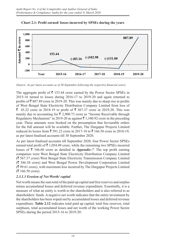



*(Source: As per latest accounts as of 30 September following the respective financial years)*

The aggregate profit of  $\bar{\tau}$  153.44 crore earned by the Power Sector SPSEs in 2015-16 turned to losses during 2016‑17 to 2019‑20 and again returned to profits of  $\bar{\mathfrak{g}}$  887.89 crore in 2019-20. This was mainly due to sharp rise in profits of West Bengal State Electricity Distribution Company Limited from loss of  $\bar{\xi}$  45.22 crore in 2018-19 to profit of  $\bar{\xi}$  567.37 crore in 2019-20. This was mainly due to accounting for  $\bar{\tau}$  2,900.73 crore as "Income Receivable through Regulatory Mechanism" in 2019-20 as against  $\bar{\tau}$  1,340.92 crore in the preceding year. These amounts were booked on the presumption that favourable orders for the full amount will be available. Further, The Durgapur Projects Limited reduced its losses from ₹ 591.22 crore in 2017-18 to ₹ 166.58 crore in 2018-19, as per latest finalised accounts till 30 September 2020.

As per latest finalised accounts till September 2020, four Power Sector SPSEs earned total profit of  $\bar{\tau}$  1,054.49 crore, while the remaining two SPSEs incurred losses of  $\bar{\tau}$  166.60 crore as detailed in *Appendix-7*. The top profit earning companies were West Bengal State Electricity Distribution Company Limited  $(3567.37 \text{ crore})$  West Bengal State Electricity Transmission Company Limited  $(\bar{\mathbf{\mathsf{z}}} 386.38$  crore) and West Bengal Power Development Corporation Limited  $(\bar{\mathcal{F}}$  99.61 crore), with maximum loss incurred by The Durgapur Projects Limited  $({\bar{\mathcal{R}}} 166.58$  crore).

## *2.3.1.3 Erosion of Net Worth/ capital*

Net worth means the sum total of the paid-up capital and free reserves and surplus minus accumulated losses and deferred revenue expenditure. Essentially, it is a measure of what an entity is worth to the shareholders and is also referred to as shareholders' funds. A negative net worth indicates that the entire investment by the shareholders has been wiped out by accumulated losses and deferred revenue expenditure. **Table 2.12** indicates total paid up capital, total free reserves, total surpluses, total accumulated losses and net worth of the working Power Sector SPSEs during the period 2015-16 to 2019-20: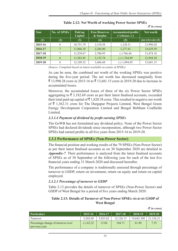| Year    | No. of SPSEs | Paid up<br>Capital | <b>Free Reserves</b><br>& Surplus | <b>Accumulated profits</b><br>$(+)/$ losses $(-)$ | Net worth         |
|---------|--------------|--------------------|-----------------------------------|---------------------------------------------------|-------------------|
| (1)     | (2)          | (3)                | $\left( 4\right)$                 | (5)                                               | $(6)=(3)+(4)+(5)$ |
| 2015-16 | 6            | 10,751.79          | 2,110.38                          | 1,128.11                                          | 13,990.28         |
| 2016-17 |              | 11,066.18          | 2,286.00                          | 1,277.41                                          | 14,629.59         |
| 2017-18 | 7            | 11,539.67          | 2,700.95                          | (-) 766.44                                        | 13,474.18         |
| 2018-19 | 6            | 11,583.45          | 3,125.74                          | $(-) 1,764.89$                                    | 12,944.30         |
| 2019-20 | 6            | 12,109.32          | 3,466.68                          | $(-) 1,894.85$                                    | 13,681.15         |

## **Table 2.12: Net Worth of working Power Sector SPSEs**

*(*` *in crore)*

*(Source: Compiled based on latest available accounts of SPSEs)*

As can be seen, the combined net worth of the working SPSEs was positive during the five-year period. The net worth has decreased marginally from ₹ 13,990.28 crore in 2015-16 to ₹ 13,681.15 crore in 2019-20 due to increase in accumulated losses.

Moreover, the accumulated losses of three of the six Power Sector SPSEs aggregating to  $\bar{\tau}$  3,182.69 crore as per their latest finalised accounts, exceeded their total paid-up capital of  $\bar{\tau}$  1,820.38 crore. This resulted in negative net worth of  $\bar{\tau}$  1,362.31 crore for The Durgapur Projects Limited, West Bengal Green Energy Development Corporation Limited and Bengal Birbhum Coalfields Limited.

## *2.3.1.4 Payment of dividend by profit earning SPSEs*

The GoWB has not formulated any dividend policy. None of the Power Sector SPSEs had declared dividends since incorporation, although two Power Sector SPSEs had earned profits in all five years from 2015-16 to 2019-20.

## **2.3.2 Performance of SPSEs (Non-Power Sector)**

The financial position and working results of the 79 SPSEs (Non‑Power Sector) as per their latest finalised accounts as on 30 September 2020 are detailed in *Appendix-7.* Their performance is analysed from the latest finalised accounts of SPSEs as of 30 September of the following year for each of the last five financial years ending 31 March 2020 and discussed hereafter.

The performance of a company is traditionally assessed through percentage of turnover to GSDP, return on investment, return on equity and return on capital employed.

## *2.3.2.1 Percentage of turnover to GSDP*

Table 2.13 provides the details of turnover of SPSEs (Non-Power Sector) and GSDP of West Bengal for a period of five years ending March 2020:

## **Table 2.13: Details of Turnover of Non-Power SPSEs** *vis-à-vis* **GSDP of West Bengal**

| <b>Particulars</b>                                  | 2015-16     | 2016-17  | 2017-18   | 2018-19    | $2019 - 20$ |
|-----------------------------------------------------|-------------|----------|-----------|------------|-------------|
| Turnover                                            | 5.202.68    | 5.923.62 | 12.126.13 | 19.642.308 | 21.126.21   |
| Percentage change of turnover over<br>previous year | $(-) 62.22$ | 13.86    | 104.71    | 61.98      | 7.55        |

*(*` *in crore)*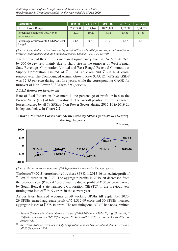| <b>Particulars</b>                               | 2015-16  | 2016-17  | 2017-18   | 2018-19   | 2019-20     |
|--------------------------------------------------|----------|----------|-----------|-----------|-------------|
| GSDP of West Bengal                              | 7,97,300 | 8,79,167 | 10,20,858 | 11,77,586 | 13, 14, 529 |
| Percentage change of GSDP over<br>previous year  | 11.03    | 10.27    | 16.12     | 15.35     | 11.63       |
| Percentage of turnover to GSDP of West<br>Bengal | 0.65     | 0.67     | 1.19      | 1.67      | 1.61        |

*(Source: Compiled based on turnover figures of SPSEs and GSDP figures as per information in previous Audit Reports and the Finance Accounts, Volume-I, 2019-20 GoWB)*

The turnover of these SPSEs increased significantly from 2015-16 to 2019-20 by 306.06 *per cent* mainly due to sharp rise in the turnover of West Bengal State Beverages Corporation Limited and West Bengal Essential Commodities Supply Corporation Limited of  $\bar{\tau}$  13,541.45 crore and  $\bar{\tau}$  2,814.04 crore, respectively. The Compounded Annual Growth Rate (CAGR)<sup>21</sup> of State GSDP was 12.85 *per cent* during last five years, while the corresponding CAGR for turnover of Non-Power SPSEs was 8.93 *per cent*.

## *2.3.2.2 Return on Investment*

Rate of Real Return on Investment is the percentage of profit or loss to the Present Value (PV) of total investment. The overall position of profits earned/ losses incurred by all 79 SPSEs (Non-Power Sector) during 2015-16 to 2019-20 is depicted below in **Chart 2.2**:





*(Source: As per latest Accounts as of 30 September for respective financial years)*

The loss of  $\bar{z}$  402.31 crore incurred by these SPSEs in 2015-16 turned into profit of  $\bar{\xi}$  289.93 crore in 2019-20. The aggregate profits in 2019–20 decreased from the previous year ( $\bar{\mathfrak{c}}$  487.42 crore) mainly due to profit of  $\bar{\mathfrak{c}}$  60.39 crore earned by South Bengal State Transport Corporation (SBSTC) in the previous year turning into loss of  $\bar{\xi}$  94.93 crore in the current year.

As per latest finalised accounts of 59 working SPSEs till September 2020, 29 SPSEs earned aggregate profit of  $\bar{\tau}$  1,332.69 crore and 30 SPSEs incurred aggregate losses of  $\overline{5}$  778.10 crore. The remaining one<sup>22</sup> SPSE had not submitted

<sup>&</sup>lt;sup>21</sup> *Rate of Compounded Annual Growth ((value of 2019-20/value of 2014-15)*  $\land$  ((1/5 years-1) \* *100) where turnover and GSDP for the year 2014-15 was* ` *13,770.12 crore and* ` *7,18,082 crore respectively.*

<sup>22</sup> *New Town Kolkata Green Smart City Corporation Limited has not submitted initial accounts till 30 September 2020.*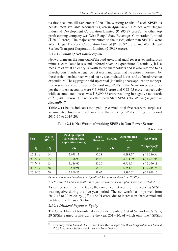its first accounts till September 2020. The working results of each SPSEs as per its latest available accounts is given in *Appendix-7*. Besides West Bengal Industrial Development Corporation Limited ( $\bar{\tau}$  885.27 crore), the other top profit earning company was West Bengal State Beverages Corporation Limited  $(\bar{\mathbf{\mathcal{R}}} 80.30 \text{ core})$ . The major contributors to the losses, other than SBSTC, were West Bengal Transport Corporation Limited ( $\bar{\tau}$  188.92 crore) and West Bengal Surface Transport Corporation Limited ( $\bar{\mathfrak{F}}$  89.98 crore).

## *2.3.2.3 Erosion of Net worth/ capital*

Net worth means the sum total of the paid-up capital and free reserves and surplus minus accumulated losses and deferred revenue expenditure. Essentially, it is a measure of what an entity is worth to the shareholders and is also referred to as shareholders' funds. A negative net worth indicates that the entire investment by the shareholders has been wiped out by accumulated losses and deferred revenue expenditure. The aggregate paid-up capital (including share application money), free reserves and surpluses of 59 working SPSEs in the Non-Power Sector as per their latest accounts were  $\bar{\tau}$  3,860.87 crore and  $\bar{\tau}$  81.65 crore, respectively while accumulated losses was  $\bar{\tau}$  5,890.62 crore resulting in negative net worth of  $\bar{\tau}$  1,948.10 crore. The net worth of each State SPSE (Non-Power) is given at *Appendix-7*.

**Table 2.14** below indicates total paid up capital, total free reserves, surpluses, accumulated losses and net worth of the working SPSEs during the period 2015-16 to 2019-20:

| Year    | No. of<br>$SPSEs*$ | Paid up Capital<br>(including share)<br>application money) | <b>Free</b><br><b>Reserves</b> | <b>Surplus</b>           | <b>Accumulated</b><br>losses | <b>Net Worth</b>         |
|---------|--------------------|------------------------------------------------------------|--------------------------------|--------------------------|------------------------------|--------------------------|
| (1)     | (2)                | (3)                                                        | (4)                            | (5)                      | (6)                          | $7=(3)+(4)+(5)$ -<br>(6) |
| 2015-16 | 64                 | 3,058.13                                                   | 30.28                          |                          | 4,298.77                     | $(-) 1,210.36$           |
| 2016-17 | 65                 | 3,376.93                                                   | 35.20                          |                          | 4,834.09                     | $(-)$ 1,421.96           |
| 2017-18 | 63                 | 3,546.60                                                   | 40.20                          |                          | 6,956.91                     | $(-)$ 3,370.11           |
| 2018-19 | 58                 | 3,570.91                                                   | 68.16                          | $\overline{\phantom{0}}$ | 5,854.81                     | $(-)$ 2,215.74           |
| 2019-20 | 59                 | 3,860.87                                                   | 81.65                          |                          | 5,890.62                     | $(-) 1,948.10$           |

## **Table 2.14: Net Worth of working SPSEs in Non-Power Sector**

*(*` *in crore)*

*(Source: Compiled based on latest finalised Accounts received from SPSEs)*

\* *SPSEs which had not submitted their first accounts since inception have been excluded.*

As can be seen from the table, the combined net worth of the working SPSEs was negative during the five-year period. The net worth has improved from 2017-18 to 2019-20; by  $\left(\text{-}\right)$   $\overline{\left(\text{-}1,422.01\right)}$  crore, due to increase in share capital and profits of the Finance Sector.

## *2.3.2.4 Dividend Payout to Equity*

The GoWB has not formulated any dividend policy. Out of 59 working SPSEs, 29 SPSEs earned profits during the year 2019-20, of which only two<sup>23</sup> SPSEs

<sup>23</sup> *Saraswaty Press Limited (*` *1.32 crore) and West Bengal Text Book Corporation (P) Limited (*` *0.02 crore) a subsidiary of Saraswaty Press Limited.*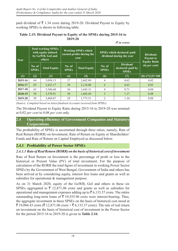paid dividend of  $\bar{\tau}$  1.34 crore during 2019-20. Dividend Payout to Equity by working SPSEs is shown in following table.

#### **Table 2.15: Dividend Payout to Equity of the SPSEs during 2015-16 to 2019-20** *(*` *in crore)*

| Year    |                        | <b>Total working SPSEs</b><br>with equity infused<br>by GoWB, GoI and<br>others | <b>Working SPSEs which</b><br>earned profits during the<br>year |                     | SPSEs which declared/paid<br>dividend during the year |                                                     | <b>Dividend</b><br>Payout to<br><b>Equity Ratio</b> |
|---------|------------------------|---------------------------------------------------------------------------------|-----------------------------------------------------------------|---------------------|-------------------------------------------------------|-----------------------------------------------------|-----------------------------------------------------|
|         | No. of<br><b>SPSEs</b> | <b>Total Equity</b>                                                             | No. of<br><b>SPSEs</b>                                          | <b>Total Equity</b> | No. of<br><b>SPSEs</b>                                | <b>Dividend</b><br>declared/paid by<br><b>SPSEs</b> | (in per cent)                                       |
| (1)     | (2)                    | (3)                                                                             | (4)                                                             | (5)                 | (6)                                                   | (7)                                                 | $\sqrt{(8)} = (7)/(5)^*100$                         |
| 2015-16 | 64                     | 3,058.13                                                                        | 37                                                              | 2,602.89            | 4                                                     | 0.62                                                | 0.02                                                |
| 2016-17 | 65                     | 3,423.17                                                                        | 38                                                              | 2,118.00            | 6                                                     | 0.63                                                | 0.03                                                |
| 2017-18 | 63                     | 3,546.60                                                                        | 36                                                              | 1,643.31            | 4                                                     | 0.71                                                | 0.04                                                |
| 2018-19 | 58                     | 3,570.91                                                                        | 30                                                              | 1,602.69            | 3                                                     | 1.17                                                | 0.08                                                |
| 2019-20 | 59                     | 3,860.87                                                                        | 29                                                              | 1,773.51            | $\overline{2}$                                        | 1.34                                                | 0.08                                                |

*(Source: Compiled based on latest finalised Accounts received from SPSEs)*

The Dividend Payout to Equity Ratio during 2015-16 to 2019-20 was nominal at 0.02 *per cent* to 0.08 *per cent* only.

## **2.4 Operating efficiency of Government Companies and Statutory Corporations**

The profitability of SPSEs is ascertained through three ratios, namely, Rate of Real Return (RORR) on Investment, Rate of Return on Equity or Shareholders' Funds and Rate of Return on Capital Employed as discussed below.

## **2.4.1 Profitability of Power Sector SPSEs**

## *2.4.1.1 Rate of Real Return (RORR) on the basis of historical cost of investment*

Rate of Real Return on Investment is the percentage of profit or loss to the historical or Present Value (PV) of total investment. For the purpose of calculation of the RORR the total figure of investment in working Power Sector SPSEs by the Government of West Bengal, Government of India and others has been arrived at by considering equity, interest free loans and grants as well as subsidies for operational  $&$  management purpose.

As on 31 March 2020, equity of the GoWB, GoI and others in these six SPSEs aggregated to  $\overline{\xi}$  12,871.06 crore and grants as well as subsidies for operational and management expenses adding up to  $\bar{\mathfrak{g}}$  6,133.37 crore. The entire outstanding long-term loans of  $\bar{\tau}$  19,555.96 crore were interest-bearing. Thus, the aggregate investment in these SPSEs on the basis of historical cost stood at ₹ 19,004.43 crore (₹ 12,871.06 crore + ₹ 6,133.37 crore). The rate of real return on investment on the basis of historical cost of investment in the Power Sector for the period 2015-16 to 2019‑20 is given in **Table 2.16**: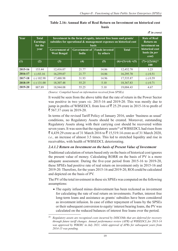| Year    | <b>Total</b><br><b>Earnings</b><br>for the | Investment in the form of equity, interest free loans and grants/<br>subsidies for operational & management expenses on historical cost | <b>Rate of Real</b><br><b>Return on</b><br>investment on |                                                    |                   |                                   |  |
|---------|--------------------------------------------|-----------------------------------------------------------------------------------------------------------------------------------------|----------------------------------------------------------|----------------------------------------------------|-------------------|-----------------------------------|--|
|         | year                                       | <b>Government of</b><br><b>West Bengal</b>                                                                                              | Government of<br>India                                   | <b>Funds invested</b><br><b>Total</b><br>by others |                   |                                   |  |
| (1)     | (2)                                        | (3)                                                                                                                                     | (4)                                                      | (5)                                                | $(6)=(3)+(4)+(5)$ | $(7)=\{(2)/(6)\}^*$<br><b>100</b> |  |
| 2015-16 | 153.44                                     | 12,416.07                                                                                                                               | 21.77                                                    | 14.86                                              | 12,452.70         | 1.23                              |  |
| 2016-17 | $(-) 83.16$                                | 16,259.07                                                                                                                               | 21.77                                                    | 14.86                                              | 16,295.70         | $(-) 0.51$                        |  |
| 2017-18 | $(-)$ 102.98                               | 17,488.98                                                                                                                               | 31.93                                                    | 14.96                                              | 17,535.87         | $(-) 0.59$                        |  |
| 2018-19 | $(-)$ 131.00                               | 18,307.48                                                                                                                               | 55.25                                                    | 5.10                                               | 18,367.83         | $(-) 0.71$                        |  |
| 2019-20 | 887.89                                     | 18,944.08                                                                                                                               | 55.25                                                    | 5.10                                               | 19,004.43         | 4.67                              |  |

## **Table 2.16: Annual Rate of Real Return on Investment on historical cost basis**

*(*` *in crore)*

*(Source: Compiled based on information received from SPSEs)*

It would be seen from the above table that the rate of return in the Power Sector was positive in two years *viz.* 2015-16 and 2019‑20. This was mostly due to jump in profits of WBSEDCL from loss of  $\overline{5}$  25.29 crore in 2015-16 to profit of ₹ 567.37 crore in 2019-20.

In terms of the revised Tariff Policy of January 2016, under 'business as usual' conditions, no Regulatory Assets should be created. Moreover, outstanding Regulatory Assets along with their carrying cost should be recovered within seven years. It was seen that the regulatory assets<sup>24</sup> of WBSEDCL had risen from  $\bar{\mathcal{F}}$  4,439.29 crore as of 31 March 2016 to  $\bar{\mathcal{F}}$  15,519.14 crore as of 31 March 2020, *i.e.,* an increase of almost 3.5 times. This led to stretched liquidity and rise in receivables, with health of WBSEDCL deteriorating.

## *2.4.1.2 Return on Investment on the basis of Present Value of Investment*

Traditional calculation of return based only on the basis of historical cost ignores the present value of money. Calculating RORR on the basis of PV is a more adequate assessment. During the five-year period from 2015-16 to 2019-20, these SPSEs had positive rate of real return on investment only in 2015-16 and 2019‑20. Therefore, for the years 2015-16 and 2019‑20, ROI could be calculated and depicted on the basis of PV.

The PV of the total investment in these six SPSEs was computed on the following assumptions:

• The equity infused minus disinvestment has been reckoned as investment for calculating the rate of real return on investments. Further, interest free long-term loans and assistance as grants/ subsidies have been considered as investment infusion. In case of either repayment of loans by the SPSEs or their subsequent conversion to equity/ interest bearing loans, the PV was calculated on the reduced balances of interest free loans over the period.

<sup>24</sup> *Regulatory assets are recognized costs incurred by DISCOMs that are deferred for recovery through future tariff changes. Annual performance review (APR) of WBSEDCL for 2013‑14 was approved by WBERC in July 2021, while approval of APRs for subsequent years from 2014-15 was pending.*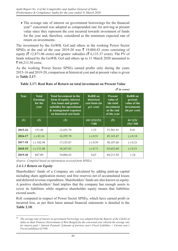• The average rate of interest on government borrowings for the financial year<sup>25</sup> concerned was adopted as compounded rate for arriving at present value since they represent the cost incurred towards investment of funds for the year and, therefore, considered as the minimum expected rate of return on investments.

The investment by the GoWB, GoI and others in the working Power Sector SPSEs at the end of the year 2019-20 was  $\bar{\tau}$  19,004.43 crore consisting of equity ( $\bar{\tau}$  12,871.06 crore) and grants/ subsidies ( $\bar{\tau}$  6,133.37 crore). The PV of funds infused by the GoWB, GoI and others up to 31 March 2020 amounted to  $\bar{5}69,213.50$  crore.

As the working Power Sector SPSEs earned profits only during the years 2015-16 and 2019‑20, comparison at historical cost and at present value is given in **Table 2.17**:

|             |                                                    |                                                                                                                                                                        |                                                             |                                                                                    | $($ $\mu$ $\mu$ $\sigma$ $\sigma$ $\sigma$                                       |
|-------------|----------------------------------------------------|------------------------------------------------------------------------------------------------------------------------------------------------------------------------|-------------------------------------------------------------|------------------------------------------------------------------------------------|----------------------------------------------------------------------------------|
| <b>Year</b> | <b>Total</b><br><b>Earnings</b><br>for the<br>year | <b>Total Investment in the</b><br>form of equity, interest<br>free loans and grants/<br>subsidies for operational<br>& management expenses<br>on historical cost basis | <b>RoRR</b> on<br>historical<br>cost basis (in<br>per cent) | <b>Present</b><br>value of<br>the total<br>investment<br>at the end<br>of the year | <b>RoRR</b> on<br>present<br>value of the<br><i>investments</i><br>(in per cent) |
| (1)         | (2)                                                | (3)                                                                                                                                                                    | $(4)=\{(2)/(3)\}$<br>$*100$                                 | (5)                                                                                | $6= {(2)}$<br>$(5)$ <sup>*</sup> 100                                             |
| 2015-16     | 153.44                                             | 12,452.70                                                                                                                                                              | 1.23                                                        | 37,501.81                                                                          | 0.41                                                                             |
| 2016-17     | $(-) 83.16$                                        | 16,295.70                                                                                                                                                              | $(-) 0.51$                                                  | 45, 143. 47                                                                        | $(-) 0.18$                                                                       |
| 2017-18     | $(-)$ 102.98                                       | 17,535.87                                                                                                                                                              | $(-) 0.59$                                                  | 50,107.68                                                                          | $(-) 0.21$                                                                       |
| 2018-19     | $(-) 131.00$                                       | 18,367.83                                                                                                                                                              | $(-) 0.71$                                                  | 63,652.60                                                                          | $(-) 0.21$                                                                       |
| 2019-20     | 887.89                                             | 19,004.43                                                                                                                                                              | 4.67                                                        | 69,213.50                                                                          | 1.24                                                                             |

 $(F$  *in quand* 

## **Table 2.17: Real Rate of Return on total investment on Present Value**

*(Source: Compiled based on information received from SPSEs)*

## *2.4.1.3 Return on Equity*

Shareholders' funds of a Company are calculated by adding paid‑up capital including share application money and free reserves net of accumulated losses and deferred revenue expenditure. Shareholders' funds are also known as equity. A positive shareholders' fund implies that the company has enough assets to cover its liabilities while negative shareholder equity means that liabilities exceed assets.

RoE computed in respect of Power Sector SPSEs, which have earned profit or incurred loss, as per their latest annual financial statements is detailed in the **Table 2.18**:

<sup>25</sup> *The average rate of interest on government borrowings was adopted from the Reports of the C&AG of India on State Finances (Government of West Bengal) for the concerned year wherein the average rate for interest paid = Interest Payment/ [(Amount of previous year's Fiscal Liabilities + Current year's Fiscal Liabilities)/2]\*100.*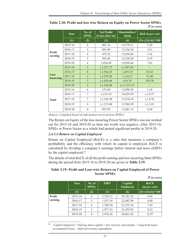|                          | Year    | No. of<br><b>SPSEs</b> | Net Profit/<br>(Loss) after tax | <b>Shareholders'</b><br>funds | RoE in per cent                                     |
|--------------------------|---------|------------------------|---------------------------------|-------------------------------|-----------------------------------------------------|
|                          | (1)     | (2)                    | (3)                             | (4)                           | $\overline{(5)} = \overline{\{(3)/(4)\} \cdot 100}$ |
|                          | 2015-16 | $\overline{4}$         | 481.16                          | 14,578.11                     | 3.30                                                |
|                          | 2016-17 | 3                      | 481.09                          | 13,336.24                     | 3.61                                                |
| <b>Profit</b><br>earning | 2017-18 | $\overline{4}$         | 475.22                          | 15,058.86                     | 3.16                                                |
|                          | 2018-19 | 3                      | 505.46                          | 12,328.20                     | 4.10                                                |
|                          | 2019-20 | $\overline{4}$         | 1,054.49                        | 15,038.46                     | 7.01                                                |
|                          | 2015-16 | $\overline{2}$         | $(-)$ 327.72                    | $(-) 587.83$                  |                                                     |
|                          | 2016-17 | $\overline{4}$         | $(-)$ 564.25                    | 1,293.35                      | 43.63                                               |
| Loss<br>incurring        | 2017-18 | $\overline{3}$         | $(-) 578.20$                    | 1,116.27                      | 51.80                                               |
|                          | 2018-19 | $\overline{3}$         | $(-) 636.46$                    | 616.10                        | 103.30                                              |
|                          | 2019-20 | $\overline{2}$         | $(-) 166.60$                    | $(-) 1,357.31$                |                                                     |
|                          | 2015-16 | 6                      | 153.44                          | 13,990.28                     | 1.10                                                |
|                          | 2016-17 | 7                      | $(-) 83.16$                     | 14,629.59                     | $(-) 0.57$                                          |
| <b>Total</b>             | 2017-18 | 7                      | $(-)$ 102.98                    | 13,474.18                     | $(-) 0.76$                                          |
|                          | 2018-19 | 6                      | $(-) 131.00$                    | 12,944.30                     | $(-) 1.01$                                          |
|                          | 2019-20 | 6                      | 887.89                          | 13,681.15                     | 6.49                                                |

**Table 2.18: Profit and loss wise Return on Equity on Power Sector SPSEs** *(*` *in crore)*

The Return on Equity of the loss incurring Power Sector SPSEs was not worked out for 2015-16 and 2019-20 as their net worth was negative. After 2015-16, SPSEs in Power Sector as a whole had posted significant profits in 2019‑20.

## *2.4.1.4 Return on Capital Employed*

Return on Capital Employed (RoCE) is a ratio that measures a company's profitability and the efficiency with which its capital is employed. RoCE is calculated by dividing a company's earnings before interest and taxes (EBIT) by the capital employed.<sup>26</sup>

The details of total RoCE of all the profit earning and loss incurring State SPSEs during the period from 2015-16 to 2019-20 are given in **Table 2.19**:

## **Table 2.19: Profit and Loss-wise Return on Capital Employed of Power Sector SPSEs**

|  |  | $(3 \nvert n \text{ core})$ |
|--|--|-----------------------------|
|--|--|-----------------------------|

|               | <b>Year</b> | No. of<br><b>SPSEs</b> | <b>EBIT</b> | Capital<br><b>Employed</b> | <b>RoCE</b><br>(in per cent)              |
|---------------|-------------|------------------------|-------------|----------------------------|-------------------------------------------|
|               | (1)         | (2)                    | (3)         | (4)                        | $\frac{1}{(5)} = \frac{1}{(3)/(4)} * 100$ |
| <b>Profit</b> | 2015-16     | $\overline{4}$         | 2,769.12    | 39,783.32                  | 6.96                                      |
| earning       | 2016-17     | 3                      | 1,557.10    | 22,882.98                  | 6.80                                      |
|               | 2017-18     | $\overline{4}$         | 1,709.54    | 21,575.18                  | 7.92                                      |
|               | 2018-19     | 3                      | 1,977.24    | 21,435.85                  | 9.22                                      |
|               | 2019-20     | 4                      | 3,976.36    | 30,661.82                  | 12.97                                     |

<sup>26</sup> *Capital employed = Paid up share capital + free reserves and surplus + long-term loans accumulated losses - deferred revenue expenditure.*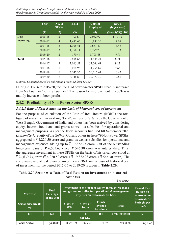|              | <b>Year</b> | No. of<br><b>SPSEs</b> | <b>EBIT</b> | Capital<br><b>Employed</b> | <b>RoCE</b><br>(in per cent) |
|--------------|-------------|------------------------|-------------|----------------------------|------------------------------|
|              | (1)         | (2)                    | (3)         | (4)                        | $(5)=\{(3)/(4)\}*100$        |
| Loss         | 2015-16     | $\overline{2}$         | $(-) 2.47$  | 2,062.92                   | $(-) 0.12$                   |
| incurring    | 2016-17     | $\overline{4}$         | 1,495.43    | 10,183.35                  | 14.69                        |
|              | 2017-18     | 3                      | 1,305.41    | 9,681.49                   | 13.48                        |
|              | 2018-19     | 3                      | 1,170.11    | 8,779.79                   | 13.33                        |
|              | 2019-20     | 2                      | 170.44      | 1,708.48                   | 9.98                         |
| <b>Total</b> | 2015-16     | 6                      | 2,806.65    | 41,846.24                  | 6.71                         |
|              | 2016-17     | 7                      | 3,025.53    | 33,066.63                  | 9.23                         |
|              | 2017-18     | 7                      | 3,014.95    | 31,256.67                  | 9.65                         |
|              | 2018-19     | 6                      | 3,147.35    | 30,215.64                  | 10.42                        |
|              | 2019-20     | 6                      | 4,146.80    | 32,370.30                  | 12.81                        |

During 2015-16 to 2019-20, the RoCE of power-sector SPSEs steadily increased from 6.71 *per cent* to 12.81 *per cent*. The reason for improvement in RoCE was mainly increase in book profits.

## **2.4.2 Profitability of Non-Power Sector SPSEs**

## *2.4.2.1 Rate of Real Return on the basis of historical cost of investment*

For the purpose of calculation of the Rate of Real Return (RORR) the total figure of investment in working Non-Power Sector SPSEs by the Government of West Bengal, Government of India and others has been arrived by considering equity, interest free loans and grants as well as subsidies for operational and management purposes. As per the latest accounts finalised till September 2020 **(***Appendix-7)*, equity of the GoWB, GoI and others in these 79 Non-Power SPSEs, aggregated to  $\bar{\mathcal{F}}$  4,220.50 crore and grants as well as subsidies for operational and management expenses adding up to  $\bar{\tau}$  19,872.93 crore. Out of the outstanding long-term loans of  $\bar{\xi}$  6,553.63 crore,  $\bar{\xi}$  546.30 crore was interest-free. Thus, the aggregate investment in these SPSEs on the basis of historical cost stood at  $\bar{\xi}$  24,639.73, crore ( $\bar{\xi}$  4,220.50 crore +  $\bar{\xi}$  19,872.93 crore +  $\bar{\xi}$  546.30 crore). The sector-wise rate of real return on investment (RRoI) on the basis of historical cost of investment for the period 2015-16 to 2019-20 is given in **Table 2.20:**

## **Table 2.20 Sector wise Rate of Real Return on Investment on historical cost basis**

|                                    |                                                 | $(3 \nvert n \text{ error})$                                                                                                                     |                   |                                                                             |                   |                               |  |
|------------------------------------|-------------------------------------------------|--------------------------------------------------------------------------------------------------------------------------------------------------|-------------------|-----------------------------------------------------------------------------|-------------------|-------------------------------|--|
| Year wise                          | <b>Total</b><br><b>Earnings</b><br>for the year | Investment in the form of equity, interest free loans<br>and grants/ subsidies for operational & management<br>expenses on historical cost basis |                   | <b>Rate of Real</b><br><b>Return on</b><br>investment on<br>historical cost |                   |                               |  |
| Sector-wise break-<br>$\mathbf{u}$ |                                                 | Govt. of<br><b>WB</b>                                                                                                                            | Govt. of<br>India | <b>Funds</b><br>invested<br>by others                                       | <b>Total</b>      | basis (in <i>per</i><br>cent) |  |
| (1)                                | (2)                                             | (3)                                                                                                                                              | (4)               | (5)                                                                         | $(6)=(3)+(4)+(5)$ | (7)                           |  |
| 2015-16                            |                                                 |                                                                                                                                                  |                   |                                                                             |                   |                               |  |
| <b>Social Sector</b>               | $(-)$ 40.05                                     | 8,996.89                                                                                                                                         | 325.92            | 7.57                                                                        | 9,330.38          |                               |  |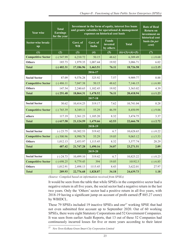| <b>Year wise</b>          | <b>Total</b><br><b>Earnings</b><br>for the year | Investment in the form of equity, interest free loans<br>and grants/ subsidies for operational & management<br>expenses on historical cost basis | <b>Rate of Real</b><br><b>Return on</b><br>investment on<br>historical cost |                                       |                                    |                        |
|---------------------------|-------------------------------------------------|--------------------------------------------------------------------------------------------------------------------------------------------------|-----------------------------------------------------------------------------|---------------------------------------|------------------------------------|------------------------|
| Sector-wise break-<br>up  |                                                 | Govt. of<br><b>WB</b>                                                                                                                            | Govt. of<br><b>India</b>                                                    | <b>Funds</b><br>invested<br>by others | <b>Total</b>                       | basis (in per<br>cent) |
| (1)                       | (2)                                             | (3)                                                                                                                                              | (4)                                                                         | (5)                                   | $\overline{(6)} = (3) + (4) + (5)$ | (7)                    |
| <b>Competitive Sector</b> | $(-) 547.99$                                    | 6,210.72                                                                                                                                         | 50.15                                                                       | 48.62                                 | 6,309.49                           | $(-) 8.68$             |
| <b>Others</b>             | 185.73                                          | 1,979.35                                                                                                                                         | 1,087.44                                                                    | 19.92                                 | 3,086.71                           | 6.02                   |
| <b>Total</b>              | $(-)$ 402.31                                    | 17,186.96                                                                                                                                        | 1,463.51                                                                    | 76.11                                 | 18,726.58                          | $(-) 2.15$             |
|                           |                                                 |                                                                                                                                                  | 2016-17                                                                     |                                       |                                    |                        |
| <b>Social Sector</b>      | 87.09                                           | 9,576.28                                                                                                                                         | 325.92                                                                      | 7.57                                  | 9,909.77                           | 0.88                   |
| <b>Competitive Sector</b> | $(-)$ 486.11                                    | 7,047.38                                                                                                                                         | 50.15                                                                       | 48.62                                 | 7,146.15                           | $(-) 6.80$             |
| <b>Others</b>             | 147.54                                          | 2,240.65                                                                                                                                         | 1,102.45                                                                    | 19.92                                 | 3,363.02                           | 4.39                   |
| <b>Total</b>              | $(-)$ 251.48                                    | 18,864.31                                                                                                                                        | 1,478.52                                                                    | 76.11                                 | 20,418.94                          | $(-) 1.23$             |
|                           |                                                 |                                                                                                                                                  | 2017-18                                                                     |                                       |                                    |                        |
| <b>Social Sector</b>      | 30.62                                           | 10,414.25                                                                                                                                        | 319.17                                                                      | 7.62                                  | 10,741.04                          | 0.28                   |
| <b>Competitive Sector</b> | $(-) 765.39$                                    | 8,349.11                                                                                                                                         | 55.29                                                                       | 46.59                                 | 8,450.99                           | $(-) 9.06$             |
| others                    | 117.19                                          | 2,361.23                                                                                                                                         | 1,105.20                                                                    | 8.32                                  | 3,474.75                           | 3.37                   |
| <b>Total</b>              | $(-)$ 617.58                                    | 21,124.59                                                                                                                                        | 1,479.66                                                                    | 62.53                                 | 22,666.78                          | $(-) 2.72$             |
|                           |                                                 |                                                                                                                                                  | 2018-19                                                                     |                                       |                                    |                        |
| <b>Social Sector</b>      | $(-) 23.75$                                     | 10,302.53                                                                                                                                        | 319.42                                                                      | 6.7                                   | 10,628.65                          | $(-) 0.22$             |
| <b>Competitive Sector</b> | $(-)$ 500.96                                    | 8,990.78                                                                                                                                         | 55.29                                                                       | 19.05                                 | 9,065.12                           | $(-) 5.53$             |
| <b>Others</b>             | 1,012.13                                        | 2,453.97                                                                                                                                         | 1,115.45                                                                    | 8.32                                  | 3,577.74                           | 28.29                  |
| <b>Total</b>              | 487.42                                          | 21,747.28                                                                                                                                        | 1,490.16                                                                    | 34.07                                 | 23,271.51                          | 2.09                   |
|                           |                                                 |                                                                                                                                                  | $\frac{2019-20}{20}$                                                        |                                       |                                    |                        |
| <b>Social Sector</b>      | $(-) 24.73$                                     | 10,499.10                                                                                                                                        | 319.42                                                                      | 6.7                                   | 10,825.22                          | $(-) 0.23$             |
| <b>Competitive Sector</b> | $(-) 698.25$                                    | 9,779.45                                                                                                                                         | 394                                                                         | 19.05                                 | 10192.5                            | $(-) 6.85$             |
| <b>Others</b>             | 1,012.91                                        | 2,498.13                                                                                                                                         | 1115.45                                                                     | 8.43                                  | 3,622.01                           | 27.97                  |
| <b>Total</b>              | 289.93                                          | 22,776.68                                                                                                                                        | 1,828.87                                                                    | 34.18                                 | 24,639.73                          | 1.18                   |

It would be seen from the table that while SPSEs in the competitive sector had a negative return in all five years, the social sector had a negative return in the last two years. Only the 'Others' sector had a positive return in all five years, with 2018-19 having a significant jump on account of profit earned ( $\overline{\mathfrak{F}}$  885.27 crore) by WBIDCL.

These 79 SPSEs included 19 inactive SPSEs and one<sup>27</sup> working SPSE that had not even submitted first account up to September 2020. Out of 60 working SPSEs, there were eight Statutory Corporations and 52 Government Companies. It was seen from earlier Audit Reports, that 13 out of these 52 Companies had continuously incurred losses for five or more years according to their latest

<sup>27</sup> *New Town Kolkata Green Smart City Corporation Limited*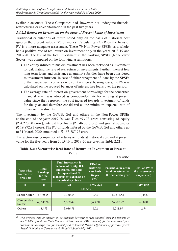available accounts. These Companies had, however, not undergone financial restructuring or re-capitalisation in the past five years.

## *2.4.2.2 Return on Investment on the basis of Present Value of Investment*

Traditional calculations of return based only on the basis of historical cost ignores the present value (PV) of money. Calculating RORR on the basis of PV is a more adequate assessment. These 79 Non-Power SPSEs as a whole, had a positive rate of real return on investment only in the years 2018-19 and 2019-20. The PV of the total investment in the working SPSEs (Non-Power Sector) was computed on the following assumptions:

- The equity infused minus disinvestment has been reckoned as investment for calculating the rate of real return on investments. Further, interest free long-term loans and assistance as grants/ subsidies have been considered as investment infusion. In case of either repayment of loans by the SPSEs or their subsequent conversion to equity/ interest bearing loans, the PV was calculated on the reduced balances of interest free loans over the period.
- The average rate of interest on government borrowings for the concerned financial year<sup>28</sup> was adopted as compounded rate for arriving at present value since they represent the cost incurred towards investment of funds for the year and therefore considered as the minimum expected rate of return on investments.

The investment by the GoWB, GoI and others in the Non-Power SPSEs at the end of the year 2019-20 was  $\bar{\tau}$  24,693.73 crore consisting of equity  $(\bar{\mathcal{F}}$  4,220.50 crore), interest free loans ( $\bar{\mathcal{F}}$  546.30 crore) and grants/ subsidies  $(\bar{\mathbf{\mathsf{z}}} 19,872.93 \text{ core})$ . The PV of funds infused by the GoWB, GoI and others up to 31 March 2020 amounted to  $\bar{\mathfrak{c}}$  153,787.97 crore.

The sector-wise comparison of returns on funds at historical cost and at present value for the five years from 2015-16 to 2019-20 are given in **Table 2.21:**

## **Table 2.21: Sector wise Real Rate of Return on Investment at Present Value**

|                                       |                                                    |                                                                                                                                                           |                                                                         | $(3 \nvert n \text{ error})$                                              |                                                          |
|---------------------------------------|----------------------------------------------------|-----------------------------------------------------------------------------------------------------------------------------------------------------------|-------------------------------------------------------------------------|---------------------------------------------------------------------------|----------------------------------------------------------|
| Year wise/<br>Sector-wise<br>break-up | <b>Total</b><br><b>Earnings</b><br>for the<br>year | <b>Total Investment in</b><br>the form of equity, IFL<br>and grants/ subsidies<br>for operational $\&$<br>management expenses on<br>historical cost basis | <b>RRoI</b> on<br>historical<br>cost basis<br>(in <i>per</i> )<br>cent) | <b>Present value of the</b><br>total investment at<br>the end of the year | <b>RRoI</b> on PV of<br>the investments<br>(in per cent) |
| (1)                                   | (2)                                                | (3)                                                                                                                                                       | $(4)=(2)/(3)$                                                           | (5)                                                                       | $(6)=(2)/(5)$                                            |
|                                       |                                                    | 2015-16                                                                                                                                                   |                                                                         |                                                                           |                                                          |
| <b>Social Sector</b>                  | $(-)$ 40.05                                        | 9,330.38                                                                                                                                                  | 0.43                                                                    | 13,572.52                                                                 | $(-) 0.29$                                               |
| Competitive<br><b>Sector</b>          | $(-) 547.99$                                       | 6,309.49                                                                                                                                                  | $(-) 8.68$                                                              | 66,895.97                                                                 | $(-) 0.81$                                               |
| <b>Others</b>                         | 185.73                                             | 3,086.71                                                                                                                                                  | 6.02                                                                    | 6,781.99                                                                  | 2.74                                                     |

<sup>28</sup> *The average rate of interest on government borrowings was adopted from the Reports of the C&AG of India on State Finances (Government of West Bengal) for the concerned year wherein the average rate for interest paid = Interest Payment/[(Amount of previous year's Fiscal Liabilities + Current year's Fiscal Liabilities)/2]\*100.*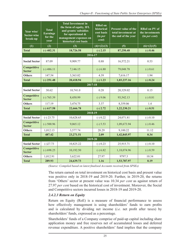| Year wise/<br><b>Sector-wise</b><br>break-up | <b>Total</b><br><b>Earnings</b><br>for the<br>year | <b>Total Investment in</b><br>the form of equity, IFL<br>and grants/ subsidies<br>for operational &<br>management expenses on<br>historical cost basis | <b>RRoI</b> on<br>historical<br>cost basis<br>(in <sub>per</sub> )<br>cent) | <b>Present value of the</b><br>total investment at<br>the end of the year | <b>RRoI</b> on PV of<br>the investments<br>(in per cent) |
|----------------------------------------------|----------------------------------------------------|--------------------------------------------------------------------------------------------------------------------------------------------------------|-----------------------------------------------------------------------------|---------------------------------------------------------------------------|----------------------------------------------------------|
| (1)                                          | (2)                                                | (3)                                                                                                                                                    | $(4)=(2)/(3)$                                                               | (5)                                                                       | $(6)=(2)/(5)$                                            |
| <b>Total</b>                                 | $(-)$ 402.31                                       | 18,726.58                                                                                                                                              | $(-)$ 2.15                                                                  | 87,250.48                                                                 | $(-) 0.46$                                               |
|                                              |                                                    | 2016-17                                                                                                                                                |                                                                             |                                                                           |                                                          |
| <b>Social Sector</b>                         | 87.09                                              | 9,909.77                                                                                                                                               | 0.88                                                                        | 16,572.21                                                                 | 0.53                                                     |
| Competitive<br><b>Sector</b>                 | $(-)$ 486.11                                       | 7,146.15                                                                                                                                               | $(-) 6.80$                                                                  | 79,048.78                                                                 | $(-) 0.61$                                               |
| <b>Others</b>                                | 147.54                                             | 3,363.02                                                                                                                                               | 4.39                                                                        | 7,616.17                                                                  | 1.94                                                     |
| <b>Total</b>                                 | $(-)$ 251.48                                       | 20,418.94                                                                                                                                              | $(-) 1.23$                                                                  | 1,03,237.16                                                               | $(-) 0.24$                                               |
|                                              |                                                    | 2017-18                                                                                                                                                |                                                                             |                                                                           |                                                          |
| <b>Social Sector</b>                         | 30.62                                              | 10,741.0                                                                                                                                               | 0.28                                                                        | 20,329.02                                                                 | 0.15                                                     |
| Competitive<br><b>Sector</b>                 | $(-) 765.39$                                       | 8,450.99                                                                                                                                               | $(-) 9.06$                                                                  | 93,542.13                                                                 | $(-) 0.81$                                               |
| <b>Others</b>                                | 117.19                                             | 3,474.75                                                                                                                                               | 3.37                                                                        | 8,359.06                                                                  | 1.4                                                      |
| <b>Total</b>                                 | $(-)$ 617.58                                       | 22,666.78                                                                                                                                              | $(-) 2.72$                                                                  | 1,22,230.21                                                               | $(-) 0.51$                                               |
|                                              |                                                    | 2018-19                                                                                                                                                |                                                                             |                                                                           |                                                          |
| <b>Social Sector</b>                         | $(-) 23.75$                                        | 10,628.65                                                                                                                                              | $(-) 0.22$                                                                  | 24,071.81                                                                 | $(-) 0.10$                                               |
| Competitive<br><b>Sector</b>                 | $(-)$ 500.96                                       | 9,065.12                                                                                                                                               | $(-) 5.53$                                                                  | 1,09,673.94                                                               | $(-) 0.46$                                               |
| <b>Others</b>                                | 1,012.13                                           | 3,577.74                                                                                                                                               | 28.29                                                                       | 9,100.22                                                                  | 11.12                                                    |
| <b>Total</b>                                 | 487.42                                             | 23,271.51                                                                                                                                              | 2.09                                                                        | 1,42,845.97                                                               | 0.34                                                     |
|                                              |                                                    | 2019-20                                                                                                                                                |                                                                             |                                                                           |                                                          |
| <b>Social Sector</b>                         | $(-)27.73$                                         | 10,825.22                                                                                                                                              | $(-) 0.23$                                                                  | 25,915.71                                                                 | $(-) 0.10$                                               |
| Competitive<br><b>Sector</b>                 | $(-) 698.25$                                       | 10,192.50                                                                                                                                              | $(-) 6.82$                                                                  | 1,18,074.96                                                               | $(-) 0.59$                                               |
| <b>Others</b>                                | 1,012.91                                           | 3,622.01                                                                                                                                               | 27.97                                                                       | 9797.3                                                                    | 10.34                                                    |
| <b>Total</b>                                 | 289.93                                             | 24,639.73                                                                                                                                              | 1.16                                                                        | 1,53,787.97                                                               | 0.19                                                     |

*(Source: Compiled based on latest finalised Accounts received from SPSEs)*

The return earned on total investment on historical cost basis and present value was positive only in 2018-19 and 2019-20. Further, in 2019-20, the returns from 'Others' sector at present value was 10.34 *per cent* as against return of 27.97 *per cent* based on the historical cost of investment. Moreover, the Social and Competitive sectors incurred losses in 2018-19 and 2019-20.

## *2.4.2.3 Return on Equity*

Return on Equity (RoE) is a measure of financial performance to assess how effectively management is using shareholders' funds to earn profits and is calculated by dividing net income (*i.e.* net profit after taxes) by shareholders' funds, expressed as a percentage.

Shareholders' funds of a Company comprise of paid-up capital including share application money and free reserves net of accumulated losses and deferred revenue expenditure. A positive shareholders' fund implies that the company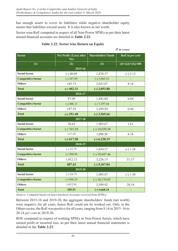has enough assets to cover its liabilities while negative shareholder equity means that liabilities exceed assets. It is also known as net worth.

Sector wise RoE computed in respect of all Non-Power SPSEs as per their latest annual financial accounts are detailed in **Table 2.22**:

|                           |                                        |                            | $(3 \nvert n \text{ error})$ |
|---------------------------|----------------------------------------|----------------------------|------------------------------|
| <b>Sector</b>             | Net Profit/ (Loss) after<br><b>Tax</b> | <b>Shareholders' funds</b> | RoE in per cent              |
| (1)                       | (2)                                    | (3)                        | $(4)=\{(2)*(3)\}/100$        |
|                           | 2015-16                                |                            |                              |
| <b>Social Sector</b>      | $(-)$ 40.05                            | 1,878.37                   | $(-) 2.13$                   |
| <b>Competitive Sector</b> | $(-) 547.99$                           | $(-) 5,965.32$             |                              |
| <b>Others</b>             | 185.73                                 | 2,033.07                   | 9.14                         |
| <b>Total</b>              | $(-)$ 402.31                           | $(-)$ 2,053.88             |                              |
|                           | 2016-17                                |                            |                              |
| <b>Social Sector</b>      | 87.09                                  | 1,442.04                   | 6.04                         |
| <b>Competitive Sector</b> | $(-)$ 486.11                           | $(-) 7,297.64$             |                              |
| <b>Others</b>             | 147.54                                 | 2,289.94                   | 6.44                         |
| <b>Total</b>              | $(-)$ 251.48                           | $(-)$ 3,565.66             |                              |
|                           | 2017-18                                |                            |                              |
| <b>Social Sector</b>      | 30.62                                  | 1,905.67                   | 1.61                         |
| <b>Competitive Sector</b> | $(-) 765.39$                           | $(-) 10,030.38$            |                              |
| <b>Others</b>             | 117.19                                 | 1,896.56                   | 6.18                         |
| <b>Total</b>              | $(-)$ 617.58                           | $(-)$ 6,228.15             |                              |
|                           | 2018-19                                |                            |                              |
| <b>Social Sector</b>      | $(-) 23.75$                            | 1,854.27                   | $(-) 1.28$                   |
| <b>Competitive Sector</b> | $(-)$ 500.96                           | $(-) 10,447.46$            |                              |
| <b>Others</b>             | 1,012.13                               | 3,226.15                   | 31.37                        |
| <b>Total</b>              | 487.42                                 | $(-)$ 5,367.04             |                              |
|                           | 2019-20                                |                            |                              |
| <b>Social Sector</b>      | $(-) 24.73$                            | 1,905.87                   | $(-) 1.30$                   |
| <b>Competitive Sector</b> | $(-) 698.25$                           | $(-) 10, 174.03$           |                              |
| <b>Others</b>             | 1,012.91                               | 3,599.92                   | 28.14                        |
| <b>Total</b>              | 289.93                                 | $(-)$ 4,668.24             | ٠                            |

## **Table 2.22: Sector wise Return on Equity**

*(Source: Compiled based on latest finalised Accounts received from SPSEs)*

Between 2015-16 and 2019-20, the aggregate shareholders' funds (net worth) were negative for all years, hence RoE could not be worked out. Only in the Others sector, the RoE was positive for all years, ranging from 9.14 in 2015 ‑16 to 28.14 *per cent* in 2019-20.

ROE computed in respect of working SPSEs in Non-Power Sector, which have earned profit or incurred loss, as per their latest annual financial statements is detailed in the **Table 2.23**: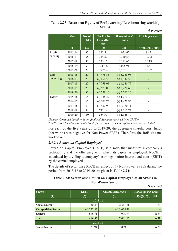|           | Year    | No. of<br><b>SPSEs</b> | Net Profit/<br>Loss after<br>tax | Shareholders'<br>funds | RoE in per cent       |
|-----------|---------|------------------------|----------------------------------|------------------------|-----------------------|
|           | (1)     | (2)                    | (3)                              | (4)                    | $(5)=\{(3)*(4)\}/100$ |
| Profit    | 2015-16 | 37                     | 342.54                           | 4,055.62               | 8.45                  |
| earning   | 2016-17 | 38                     | 344.82                           | 3,310.56               | 10.42                 |
|           | 2017-18 | 36                     | 325.15                           | 3,191.66               | 10.19                 |
|           | 2018-19 | 30                     | 1,314.22                         | 4,005.91               | 32.81                 |
|           | 2019-20 | 29                     | 1,332.69                         | 5,252.10               | 25.37                 |
| Loss      | 2015-16 | 27                     | $(-)$ 478.83                     | $(-) 5,265.98$         |                       |
| incurring | 2016-17 | 27                     | $(-)$ 451.55                     | $(-)$ 4,732.52         |                       |
|           | 2017-18 | 27                     | $(-) 758.05$                     | $(-) 6,561.77$         |                       |
|           | 2018-19 | 28                     | $(-) 573.08$                     | $(-) 6,221.65$         |                       |
|           | 2019-20 | 30                     | $(-) 778.10$                     | $(-) 7,200.20$         |                       |
| Total*    | 2015-16 | 64                     | $(-) 136.29$                     | $(-) 1,210.36$         |                       |
|           | 2016-17 | 65                     | $(-) 106.73$                     | $(-)$ 1,421.96         |                       |
|           | 2017-18 | 63                     | $(-)$ 432.90                     | $(-)$ 3,370.11         |                       |
|           | 2018-19 | 58                     | 741.14                           | $(-)$ 2,215.74         |                       |
|           | 2019-20 | 59                     | 554.59                           | $(-) 1,948.10$         |                       |

#### **Table 2.23: Return on Equity of Profit earning/ Loss incurring working SPSEs** *(*` *in crore)*

*(Source: Compiled based on latest finalised Accounts received from SPSEs)*

\* *SPSEs which had not submitted their first accounts since inception have been excluded.*

For each of the five years up to 2019-20, the aggregate shareholders' funds (net worth) was negative for Non-Power SPSEs. Therefore, the RoE was not worked out.

## *2.4.2.4 Return on Capital Employed*

Return on Capital Employed (RoCE) is a ratio that measures a company's profitability and the efficiency with which its capital is employed. RoCE is calculated by dividing a company's earnings before interest and taxes (EBIT) by the capital employed.

The details of sector wise RoCE in respect of 79 Non-Power SPSEs during the period from 2015-16 to 2019-20 are given in **Table 2.24**:

#### **Table 2.24: Sector wise Return on Capital Employed of all SPSEs in Non-Power Sector**

*(*` *in crore)*

|                           |              |                         | $\overline{\phantom{a}}$ |  |  |  |  |
|---------------------------|--------------|-------------------------|--------------------------|--|--|--|--|
| Sector                    | <b>EBIT</b>  | <b>Capital Employed</b> | RoCE (in per cent)       |  |  |  |  |
| (1)                       | (2)          | (3)                     | $(4)=\{(2)*(3)\}/100$    |  |  |  |  |
|                           | 2015-16      |                         |                          |  |  |  |  |
| <b>Social Sector</b>      | 30.28        | 2,511.76                | 1.21                     |  |  |  |  |
| <b>Competitive Sector</b> | $(-)$ 222.53 | $(-)$ 3,035.38          |                          |  |  |  |  |
| <b>Others</b>             | 658.71       | 7,925.24                | 8.31                     |  |  |  |  |
| <b>Total</b>              | 466.56       | 7,401.62                | 6.30                     |  |  |  |  |
| 2016-17                   |              |                         |                          |  |  |  |  |
| <b>Social Sector</b>      | 127.94       | 2,059.51                | 6.21                     |  |  |  |  |
|                           |              |                         |                          |  |  |  |  |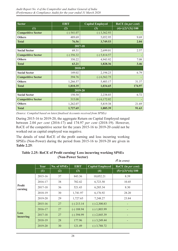| <b>Sector</b>             | <b>EBIT</b>  | <b>Capital Employed</b> | RoCE (in per cent)    |
|---------------------------|--------------|-------------------------|-----------------------|
| (1)                       | (2)          | (3)                     | $(4)=\{(2)*(3)\}/100$ |
| <b>Competitive Sector</b> | $(-) 541.07$ | $(-)$ 3,362.93          |                       |
| <b>Others</b>             | 489.69       | 5,052.95                | 9.69                  |
| <b>Total</b>              | 76.56        | 3,749.53                | 2.04                  |
|                           | 2017-18      |                         |                       |
| <b>Social Sector</b>      | 69.31        | 2,699.01                | 2.57                  |
| <b>Competitive Sector</b> | $(-)$ 356.32 | $(-) 5,814.57$          |                       |
| <b>Others</b>             | 350.22       | 4,943.92                | 7.08                  |
| <b>Total</b>              | 63.21        | 1,828.36                | 3.46                  |
|                           | 2018-19      |                         |                       |
| <b>Social Sector</b>      | 149.02       | 2,194.23                | 6.79                  |
| <b>Competitive Sector</b> | 394.76       | $(-) 6,562.75$          |                       |
| <b>Others</b>             | 1,266.57     | 5,403.17                | 31.37                 |
| <b>Total</b>              | 1,810.35     | 1,034.65                | 174.97                |
|                           | 2019-20      |                         |                       |
| <b>Social Sector</b>      | 150.50       | 2,238.03                | 6.72                  |
| <b>Competitive Sector</b> | 315.08       | $(-)$ 6,172.02          |                       |
| <b>Others</b>             | 1,262.07     | 5,819.38                | 21.69                 |
| <b>Total</b>              | 1,727.65     | 1,885.39                | 91.63                 |

*(Source: Compiled based on latest finalised Accounts received from SPSEs)*

During 2015-16 to 2019-20, the aggregate Return on Capital Employed ranged between 2.04 *per cent* (2016-17) and 174.97 *per cent* (2018-19). However, RoCE of the competitive sector for the years 2015-16 to 2019-20 could not be worked out as capital employed was negative.

The details of total RoCE of the profit earning and loss incurring working SPSEs (Non-Power) during the period from 2015-16 to 2019-20 are given in **Table 2.25**:

## **Table 2.25: RoCE of Profit earning/ Loss incurring working SPSEs (Non-Power Sector)**

|                          |             |                     |              |                         | $(3 \nvert n \text{ error})$ |
|--------------------------|-------------|---------------------|--------------|-------------------------|------------------------------|
|                          | Year        | <b>No. of SPSEs</b> | <b>EBIT</b>  | <b>Capital Employed</b> | RoCE (in per cent)           |
|                          | (1)         | (2)                 | (3)          | (4)                     | $(5)=\{(3)*(4)\}/100$        |
|                          | 2015-16     | 37                  | 843.36       | 10,052.21               | 8.39                         |
|                          | 2016-17     | 38                  | 702.42       | 6,723.50                | 10.45                        |
| <b>Profit</b><br>earning | 2017-18     | 36                  | 521.43       | 6,285.34                | 8.30                         |
|                          | 2018-19     | 30                  | 1,741.97     | 6,176.92                | 28.20                        |
|                          | 2019-20     | 29                  | 1,727.65     | 7,248.27                | 23.84                        |
|                          | $2015 - 16$ | 27                  | $(-)$ 213.14 | $(-)$ 2,300.83          |                              |
|                          | 2016-17     | 27                  | $(-) 188.94$ | $(-) 1,803.99$          |                              |
| Loss<br>incurring        | 2017-18     | 27                  | $(-)$ 394.99 | $(-)$ 2,845.39          |                              |
|                          | 2018-19     | 28                  | 177.96       | $(-)$ 3,249.44          |                              |
|                          | 2019-20     | 30                  | 121.49       | $(-)$ 3,788.72          |                              |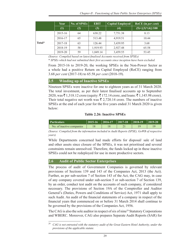|        | Year        | No. of SPSEs | <b>EBIT</b> | <b>Capital Employed</b> | RoCE (in <i>per cent</i> ) |
|--------|-------------|--------------|-------------|-------------------------|----------------------------|
|        | (1)         | (2)          | (3)         | (4)                     | $(5)=\{(3)*(4)\}/100$      |
|        | $2015 - 16$ | 64           | 630.22      | 7,751.38                | 8.13                       |
|        | 2016-17     | 65           | 513.48      | 4,919.51                | 10.44                      |
| Total* | 2017-18     | 63           | 126.44      | 3,439.95                | 3.68                       |
|        | 2018-19     | 58           | 1,919.93    | 2,927.48                | 65.58                      |
|        | 2019-20     | 59           | 1,849.14    | 3,459.55                | 53.45                      |

*(Source: Compiled based on latest finalised Accounts received from SPSEs)*

\* *SPSEs which had not submitted their first accounts since inception have been excluded.*

From 2015-16 to 2019-20, the working SPSEs in the Non-Power Sector as a whole had a positive Return on Capital Employed (RoCE) ranging from 3.68 *per cent* (2017-18) to 65.58 *per cent* (2018-19).

## **2.5 Winding up of Inactive SPSEs**

Nineteen SPSEs were inactive for one to eighteen years as of 31 March 2020. The total investment, as per their latest finalised accounts up to September 2020, was ₹1,318.12 crore (equity: ₹172.14 crore, and loans: ₹1,145.98 crore). Their total negative net worth was  $\bar{\tau}$  2,720.14 crore. The numbers of inactive SPSEs at the end of each year for the five years ended 31 March 2020 is given below:

#### **Table 2.26: Inactive SPSEs**

| <b>Particulars</b>        | $\parallel$ 2015-16 $\parallel$ 2016-17 $\parallel$ 2017-18 $\parallel$ 2018-19 $\parallel$ 2019-20 |  |  |
|---------------------------|-----------------------------------------------------------------------------------------------------|--|--|
| No. of inactive companies |                                                                                                     |  |  |

*(Source: Compiled from the information included in Audit Reports (SPSE), GoWB of respective years)*

While Departments concerned had made efforts for disposal/ sale of land and other assets since closure of the SPSEs, it was not prioritised and several constraints remain unresolved. Therefore, the funds locked up in these inactive SPSEs could not be redeployed for use in more productive sectors.

## **2.6 Audit of Public Sector Enterprises**

The process of audit of Government Companies is governed by relevant provisions of Sections 139 and 143 of the Companies Act, 2013 (the Act). Further, as per sub-section 7 of Section 143 of the Act, the CAG may, in case of any company covered under sub-section 5 or sub-section 7 of Section 139, by an order, conduct test audit on the accounts of such company, if considered necessary. The provisions of Section 19A of the Comptroller and Auditor General's (Duties, Powers and Conditions of Service) Act, 1971 shall apply to such Audit. An audit of the financial statements of a company in respect of the financial years that commenced on or before 31 March 2014 shall continue to be governed by the provisions of the Companies Act, 1956.

The CAG is also the sole auditor in respect of six of nine<sup>29</sup> Statutory Corporations and WBERC. Moreover, CAG also prepares Separate Audit Reports (SAR) for

<sup>29</sup> *CAG is not entrusted with the statutory audit of the Great Eastern Hotel Authority, under the provisions of the applicable statute.*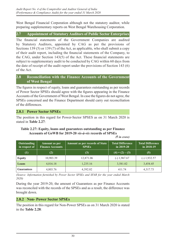West Bengal Financial Corporation although not the statutory auditor, while preparing supplementary reports on West Bengal Warehousing Corporation.

## **2.7 Appointment of Statutory Auditors of Public Sector Enterprises**

The financial statements of the Government Companies are audited by Statutory Auditors, appointed by CAG as per the provisions of Sections 139 (5) or 139 (7) of the Act, as applicable, who shall submit a copy of their audit report, including the financial statements of the Company, to the CAG, under Section 143(5) of the Act. These financial statements are subject to supplementary audit to be conducted by CAG within 60 days from the date of receipt of the audit report under the provisions of Section 143 (6) of the Act.

## **2.8 Reconciliation with the Finance Accounts of the Government of West Bengal**

The figures in respect of equity, loans and guarantees outstanding as per records of Power Sector SPSEs should agree with the figures appearing in the Finance Accounts of the Government of West Bengal. In case the figures do not agree, the SPSEs concerned and the Finance Department should carry out reconciliation of the differences.

## **2.8.1 Power Sector SPSEs**

The position in this regard for Power-Sector SPSES as on 31 March 2020 is stated in **Table 2.27**:

#### **Table 2.27: Equity, loans and guarantees outstanding as per Finance Accounts of GoWB for 2019‑20** *vis-à-vis* **records of SPSEs** *(*` *in crore)*

| <b>Outstanding</b><br><b>Amount as per</b><br><b>Finance Accounts</b><br>in respect of |           | <b>Amount as per records of State</b><br><b>SPSEs</b> | <b>Total Difference</b><br>in $2019-20$ | <b>Total Difference</b><br>in $2018-19$ |  |
|----------------------------------------------------------------------------------------|-----------|-------------------------------------------------------|-----------------------------------------|-----------------------------------------|--|
| $\left(1\right)$                                                                       | (2)       | (3)                                                   | $(4) = (2) - (3)$                       | (5)                                     |  |
| <b>Equity</b>                                                                          | 10,903.39 | 12,871.06                                             | $(-) 1,967.67$                          | $(-) 1,932.57$                          |  |
| Loans                                                                                  | 4,816.18  | 1,235.16                                              | 3,581.02                                | 3,454.45                                |  |
| <b>Guarantees</b>                                                                      | 4,803.76  | 4,392.02                                              | 411.74                                  | 4,317.73                                |  |

*(Source: Information furnished by Power Sector SPSEs and SFAR for the year ended March 2020)*

During the year 2019-20, the amount of Guarantees as per Finance Accounts was reconciled with the records of the SPSEs and as a result, the difference was brought down.

## **2.8.2 Non- Power Sector SPSEs**

The position in this regard for Non-Power SPSEs as on 31 March 2020 is stated in the **Table 2.28**: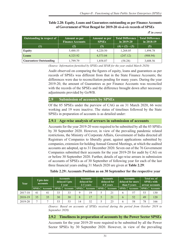**Table 2.28: Equity, Loans and Guarantees outstanding as per FinanceAccounts of Government of West Bengal for 2019-20** *vis-à-vis* **records of SPSEs**

| Outstanding in respect of     | Amount as per<br><b>Finance Accounts</b> | Amount as per<br><b>SPSEs</b> | <b>Total Difference</b><br>in $2019-20$ | <b>Total Difference</b><br>in $2018-19$ |
|-------------------------------|------------------------------------------|-------------------------------|-----------------------------------------|-----------------------------------------|
| $\rm(1)$                      | (2)                                      | (3)                           | $(4) = (2) - (3)$                       | (5)                                     |
| <b>Equity</b>                 | 5,488.55                                 | 4,220.50                      | 1,268.05                                | 1,494.78                                |
| Loans                         | 4,325.92                                 | 4,573.04                      | (247.12)                                | (908.94)                                |
| <b>Guarantees Outstanding</b> | 1,799.79                                 | 1,858.07                      | (58.28)                                 | 3,608.56                                |

*(*` *in crore)*

*(Source: Information furnished by SPSEs and SFAR for the year ended March 2020)*

Audit observed on comparing the figures of equity, loans and guarantees as per records of SPSEs was different from that in the State Finance Accounts; the differences were due to reconciliation pending for many years. During the year 2019-20, the amount of Guarantees as per Finance Accounts was reconciled with the records of the SPSEs and the difference brought down after necessary adjustments provided by GoWB.

#### **2.9 Submission of accounts by SPSEs**

Of the 85 SPSEs under the purview of CAG as on 31 March 2020, 66 were working and 19 were inactive. The status of timelines followed by the State SPSEs in preparation of accounts is as detailed under:

#### **2.9.1 Age-wise analysis of arrears in submission of accounts**

Accounts for the year 2019-20 were required to be submitted by all the 85 SPSEs by 30 September 2020. However, in view of the prevailing pandemic related restrictions, the Ministry of Corporate Affairs, Government of India directed all Registrars of Companies to liberally grant, against applications submitted by companies, extension for holding Annual General Meetings, at which the audited accounts are adopted, up to 31 December 2020. Seven out of the 76 Government Companies submitted their accounts for the year 2019-20 for audit by CAG on or before 30 September 2020. Further, details of age-wise arrears in submission of accounts of SPSEs as of 30 September of following year for each of the last three financial years ending 31 March 2020 are given at **Table 2.29**:

| Year    |              | <b>Upto date</b><br>accounts | <b>Accounts</b><br>delayed Upto<br>1 vear |                 | <b>Accounts</b><br><b>Accounts</b><br>delayed for<br>delayed for<br>2-3 years<br>4-5 years |                 | <b>Accounts</b><br>  delayed for more  <br>than 5 years |                 | <b>Total no. of</b><br><b>SPSEs with</b><br>arrear accounts |                 |              |                 |
|---------|--------------|------------------------------|-------------------------------------------|-----------------|--------------------------------------------------------------------------------------------|-----------------|---------------------------------------------------------|-----------------|-------------------------------------------------------------|-----------------|--------------|-----------------|
|         | <b>SPSEs</b> | <b>Accounts</b>              | <b>SPSEs</b>                              | <b>Accounts</b> | <b>SPSEs</b>                                                                               | <b>Accounts</b> | SPSEs                                                   | <b>Accounts</b> | $\mid$ SPSEs $\mid$                                         | <b>Accounts</b> | <b>SPSEs</b> | <b>Accounts</b> |
| 2017-18 | 41           | 41                           | 33                                        | 33              | $\Omega$                                                                                   | 19              |                                                         | 21              | h                                                           | 57              | 53           | 130             |
| 2018-19 | 35           | 35                           | 30                                        | 30              | 8                                                                                          | 17              |                                                         | 21              | 6                                                           | 52              | 49           | 120             |
| 2019-20 |              |                              | 53                                        | 53              | 14                                                                                         | 32              |                                                         | 23              | O                                                           | 58              | 78           | 166             |

## **Table 2.29: Accounts Position as on 30 September for the respective year**

*(Source: Based on accounts of SPSEs received during the period from October 2019 to September 2020)*

## **2.9.2 Timeliness in preparation of accounts by the Power Sector SPSEs**

Accounts for the year 2019-20 were required to be submitted by all the Power Sector SPSEs by 30 September 2020. However, in view of the prevailing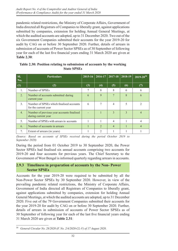pandemic related restrictions, the Ministry of Corporate Affairs, Government of India directed all Registrars of Companies to liberally grant, against applications submitted by companies, extension for holding Annual General Meetings, at which the audited accounts are adopted, up to 31 December 2020. Two out of the six Government Companies submitted their accounts for the year 2019-20 for audit by CAG on or before 30 September 2020. Further, details of arrears in submission of accounts of Power Sector SPSEs as of 30 September of following year for each of the last five financial years ending 31 March 2020 are given at **Table 2.30**:

| SI.<br>No.       | <b>Particulars</b>                                                | $2015 - 16$ | 2016-17        | 2017-18        | 2018-19       | $\overline{2019}$ -20 <sup>30</sup> |
|------------------|-------------------------------------------------------------------|-------------|----------------|----------------|---------------|-------------------------------------|
| (1)              | (2)                                                               | (3)         | (4)            | (5)            | (6)           | (7)                                 |
| $\mathbf{1}$ .   | Number of SPSEs                                                   | 7           | 8              | 8              | 6             | 6                                   |
| 2.               | Number of accounts submitted during<br>current year               | 6           | 9              |                | 8             | 6                                   |
| 3 <sub>1</sub>   | Number of SPSEs which finalised accounts<br>for the current year  | 6           | 7              | 4              | 5             | 2                                   |
| $\overline{4}$ . | Number of previous year accounts finalised<br>during current year |             |                | $\mathcal{R}$  | $\mathcal{E}$ | 4                                   |
| 5 <sub>1</sub>   | Number of SPSEs with arrears in accounts                          |             |                | 4              |               | 4                                   |
| 6.               | Number of accounts in arrears                                     |             | $\overline{2}$ | $\overline{4}$ |               | 4                                   |
| 7.               | Extent of arrears (in years)                                      |             | 2              |                |               |                                     |

|                    | Table 2.30: Position relating to submission of accounts by the working |
|--------------------|------------------------------------------------------------------------|
| <b>State SPSEs</b> |                                                                        |

*(Source: Based on accounts of SPSEs received during the period October 2019 to September 2020)* 

During the period from 01 October 2019 to 30 September 2020, the Power Sector SPSEs had finalised six annual accounts comprising two accounts for 2019-20 and four accounts for previous years. The Chief Secretary to the Government of West Bengal is informed quarterly regarding arrears in accounts.

## **2.9.3 Timeliness in preparation of accounts by the Non- Power Sector SPSEs**

Accounts for the year 2019-20 were required to be submitted by all the Non-Power Sector SPSEs by 30 September 2020. However, in view of the prevailing pandemic related restrictions, the Ministry of Corporate Affairs, Government of India directed all Registrars of Companies to liberally grant, against applications submitted by companies, extension for holding Annual General Meetings, at which the audited accounts are adopted, up to 31 December 2020. Five out of the 79 Government Companies submitted their accounts for the year 2019-20 for audit by CAG on or before 30 September 2020. Further, details of arrears in submission of accounts of Power Sector SPSEs as of 30 September of following year for each of the last five financial years ending 31 March 2020 are given at **Table 2.31**:

<sup>30</sup> *General Circular No. 28/2020 (F. No. 2/4/2020-CL-V) of 17 August 2020.*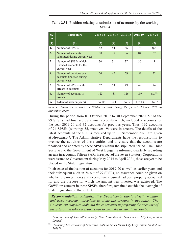| SI.<br>no. | <b>Particulars</b>                                                   | 2015-16     | 2016-17 | 2017-18 | 2018-19 | 2019-20    |
|------------|----------------------------------------------------------------------|-------------|---------|---------|---------|------------|
| (1)        | (2)                                                                  | (3)         | (4)     | (5)     | (6)     | (7)        |
| 1.         | Number of SPSEs                                                      | 82          | 84      | 86      | 78      | $79^{31}$  |
| 2.         | Number of accounts<br>submitted during current year                  | 80          | 78      | 96      | 84      | 37         |
| 3.         | Number of SPSEs which<br>finalised accounts for the<br>current year  | 30          | 31      | 37      | 30      | 5          |
| 4.         | Number of previous year<br>accounts finalised during<br>current year | 50          | 47      | 59      | 54      | 32         |
| 5.         | Number of SPSEs with<br>arrears in accounts                          | 52          | 53      | 49      | 48      | 74         |
| 6.         | Number of accounts in<br>arrears                                     | 123         | 138     | 126     | 119     | $162^{32}$ |
| 7.         | Extent of arrears (years)                                            | $1$ to $10$ | 1 to 11 | 1 to 12 | 1 to 13 | 1 to 14    |

**Table 2.31: Position relating to submission of accounts by the working SPSEs**

*(Source: Based on accounts of SPSEs received during the period October 2019 to*  September 2020)

During the period from 01 October 2019 to 30 September 2020, 59 of the 79 SPSEs had finalised 37 annual accounts which, included 5 accounts for the year 2019-20 and 32 accounts for previous years. Thus, 162 accounts of 74 SPSEs (working: 55, inactive: 19) were in arrears. The details of the latest accounts of the SPSEs received up to 30 September 2020 are given at *Appendix-7*. The Administrative Departments have the responsibility to oversee the activities of these entities and to ensure that the accounts are finalised and adopted by these SPSEs within the stipulated period. The Chief Secretary to the Government of West Bengal is informed quarterly regarding arrears in accounts. Fifteen SARs in respect of the seven Statutory Corporations were issued to Government during May 2015 to April 2021, these are yet to be placed in the State Legislature.

In absence of finalisation of accounts for 2019-20 as well as earlier years and their subsequent audit in 74 out of 79 SPSEs, no assurance could be given on whether the investments and expenditure incurred had been properly accounted for and the purpose for which the amount was invested was achieved. The GoWB investment in these SPSEs, therefore, remained outside the oversight of State Legislature to that extent.

 *Recommendation: Administrative Departments should strictly monitor and issue necessary directions to clear the arrears in accounts. The Government may also look into the constraints in preparing the accounts of the SPSEs and take necessary steps to clear the arrears in accounts*.

*<sup>31</sup> Incorporation of One SPSE namely, New Town Kolkata Green Smart City Corporation Limited.*

<sup>32</sup> *Including two accounts of New Town Kolkata Green Smart City Corporation Limited, for 201819.*